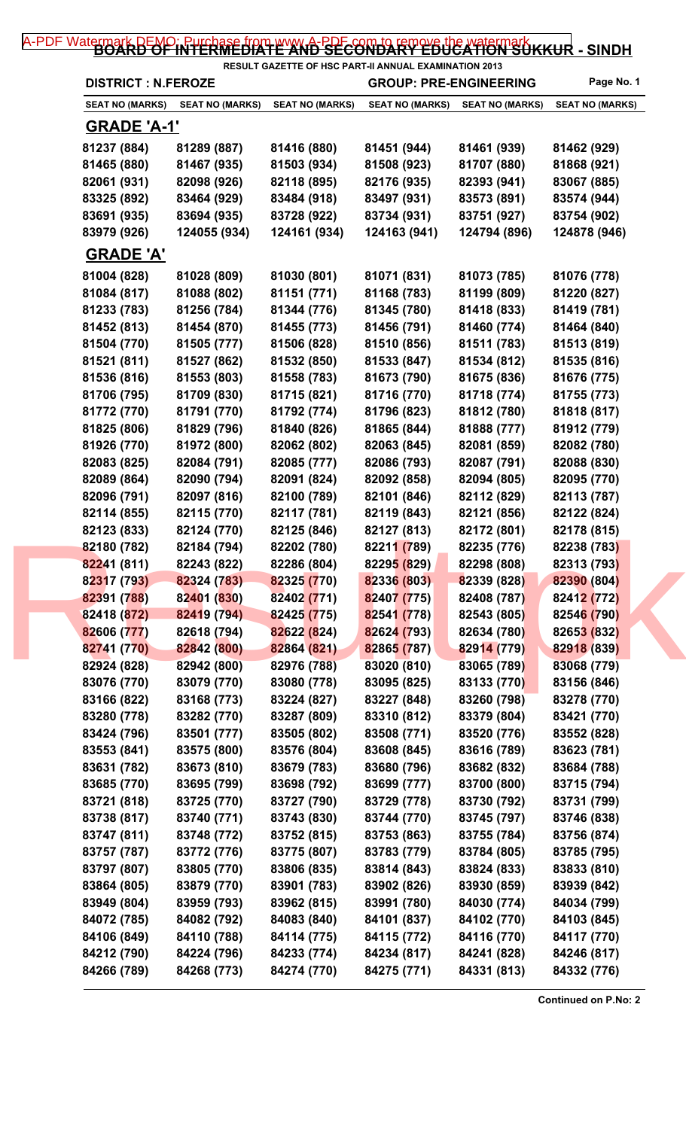## [A-PDF Watermark DEMO: Purchase from www.A-PDF.com to remove the watermark](http://www.a-pdf.com/?wm-demo) KKUR - SINDH

|                            |                        |                        | <b>RESULT GAZETTE OF HSC PART-II ANNUAL EXAMINATION 2013</b> |                        |                        |
|----------------------------|------------------------|------------------------|--------------------------------------------------------------|------------------------|------------------------|
| <b>DISTRICT : N.FEROZE</b> |                        |                        | <b>GROUP: PRE-ENGINEERING</b>                                |                        | Page No. 1             |
| <b>SEAT NO (MARKS)</b>     | <b>SEAT NO (MARKS)</b> | <b>SEAT NO (MARKS)</b> | <b>SEAT NO (MARKS)</b>                                       | <b>SEAT NO (MARKS)</b> | <b>SEAT NO (MARKS)</b> |
| <b>GRADE 'A-1'</b>         |                        |                        |                                                              |                        |                        |
| 81237 (884)                | 81289 (887)            | 81416 (880)            | 81451 (944)                                                  | 81461 (939)            | 81462 (929)            |
| 81465 (880)                | 81467 (935)            | 81503 (934)            | 81508 (923)                                                  | 81707 (880)            | 81868 (921)            |
| 82061 (931)                | 82098 (926)            | 82118 (895)            | 82176 (935)                                                  | 82393 (941)            | 83067 (885)            |
| 83325 (892)                | 83464 (929)            | 83484 (918)            | 83497 (931)                                                  | 83573 (891)            | 83574 (944)            |
| 83691 (935)                | 83694 (935)            | 83728 (922)            | 83734 (931)                                                  | 83751 (927)            | 83754 (902)            |
| 83979 (926)                | 124055 (934)           | 124161 (934)           | 124163 (941)                                                 | 124794 (896)           | 124878 (946)           |
| <b>GRADE 'A'</b>           |                        |                        |                                                              |                        |                        |
| 81004 (828)                | 81028 (809)            | 81030 (801)            | 81071 (831)                                                  | 81073 (785)            | 81076 (778)            |
| 81084 (817)                | 81088 (802)            | 81151 (771)            | 81168 (783)                                                  | 81199 (809)            | 81220 (827)            |
| 81233 (783)                | 81256 (784)            | 81344 (776)            | 81345 (780)                                                  | 81418 (833)            | 81419 (781)            |
| 81452 (813)                | 81454 (870)            | 81455 (773)            | 81456 (791)                                                  | 81460 (774)            | 81464 (840)            |
| 81504 (770)                | 81505 (777)            | 81506 (828)            | 81510 (856)                                                  | 81511 (783)            | 81513 (819)            |
| 81521 (811)                | 81527 (862)            | 81532 (850)            | 81533 (847)                                                  | 81534 (812)            | 81535 (816)            |
| 81536 (816)                | 81553 (803)            | 81558 (783)            | 81673 (790)                                                  | 81675 (836)            | 81676 (775)            |
| 81706 (795)                | 81709 (830)            | 81715 (821)            | 81716 (770)                                                  | 81718 (774)            | 81755 (773)            |
| 81772 (770)                | 81791 (770)            | 81792 (774)            | 81796 (823)                                                  | 81812 (780)            | 81818 (817)            |
| 81825 (806)                | 81829 (796)            | 81840 (826)            | 81865 (844)                                                  | 81888 (777)            | 81912 (779)            |
| 81926 (770)                | 81972 (800)            | 82062 (802)            | 82063 (845)                                                  | 82081 (859)            | 82082 (780)            |
| 82083 (825)                | 82084 (791)            | 82085 (777)            | 82086 (793)                                                  | 82087 (791)            | 82088 (830)            |
| 82089 (864)                | 82090 (794)            | 82091 (824)            | 82092 (858)                                                  | 82094 (805)            | 82095 (770)            |
| 82096 (791)                | 82097 (816)            | 82100 (789)            | 82101 (846)                                                  | 82112 (829)            | 82113 (787)            |
| 82114 (855)                | 82115 (770)            | 82117 (781)            | 82119 (843)                                                  | 82121 (856)            | 82122 (824)            |
| 82123 (833)                | 82124 (770)            | 82125 (846)            | 82127 (813)                                                  | 82172 (801)            | 82178 (815)            |
| 82180 (782)                | 82184 (794)            | 82202 (780)            | 82211 (789)                                                  | 82235 (776)            | 82238 (783)            |
| 82241 (811)                | 82243 (822)            | 82286 (804)            | 82295 (829)                                                  | 82298 (808)            | 82313 (793)            |
| 82317 (793)                | 82324 (783)            | 82325 (770)            | 82336 (803)                                                  | 82339 (828)            | 82390 (804)            |
| 82391 (788)                | 82401 (830)            | 82402 (771)            | 82407 (775)                                                  | 82408 (787)            | 82412 (772)            |
| 82418 (872)                | 82419 (794)            | 82425 (775)            | 82541 (778)                                                  | 82543 (805)            | 82546 (790)            |
| 82606 (777)                | 82618 (794)            | 82622 (824)            | 82624 (793)                                                  | 82634 (780)            | 82653 (832)            |
| 82741 (770)                | 82842 (800)            | 82864 (821)            | 82865 (787)                                                  | 82914 (779)            | 82918 (839)            |
| 82924 (828)                | 82942 (800)            | 82976 (788)            | 83020 (810)                                                  | 83065 (789)            | 83068 (779)            |
| 83076 (770)                | 83079 (770)            | 83080 (778)            | 83095 (825)                                                  | 83133 (770)            | 83156 (846)            |
| 83166 (822)                | 83168 (773)            | 83224 (827)            | 83227 (848)                                                  | 83260 (798)            | 83278 (770)            |
| 83280 (778)                | 83282 (770)            | 83287 (809)            | 83310 (812)                                                  | 83379 (804)            | 83421 (770)            |
| 83424 (796)                | 83501 (777)            | 83505 (802)            | 83508 (771)                                                  | 83520 (776)            | 83552 (828)            |
| 83553 (841)                | 83575 (800)            | 83576 (804)            | 83608 (845)                                                  | 83616 (789)            | 83623 (781)            |
| 83631 (782)                | 83673 (810)            | 83679 (783)            | 83680 (796)                                                  | 83682 (832)            | 83684 (788)            |
| 83685 (770)                | 83695 (799)            | 83698 (792)            | 83699 (777)                                                  | 83700 (800)            | 83715 (794)            |
| 83721 (818)                | 83725 (770)            | 83727 (790)            | 83729 (778)                                                  | 83730 (792)            | 83731 (799)            |
| 83738 (817)                | 83740 (771)            | 83743 (830)            | 83744 (770)                                                  | 83745 (797)            | 83746 (838)            |
| 83747 (811)                | 83748 (772)            | 83752 (815)            | 83753 (863)                                                  | 83755 (784)            | 83756 (874)            |
| 83757 (787)                | 83772 (776)            | 83775 (807)            | 83783 (779)                                                  | 83784 (805)            | 83785 (795)            |
| 83797 (807)                | 83805 (770)            | 83806 (835)            | 83814 (843)                                                  | 83824 (833)            | 83833 (810)            |
| 83864 (805)                | 83879 (770)            | 83901 (783)            | 83902 (826)                                                  | 83930 (859)            | 83939 (842)            |
| 83949 (804)                | 83959 (793)            | 83962 (815)            | 83991 (780)                                                  | 84030 (774)            | 84034 (799)            |
| 84072 (785)                | 84082 (792)            | 84083 (840)            | 84101 (837)                                                  | 84102 (770)            | 84103 (845)            |
| 84106 (849)                | 84110 (788)            | 84114 (775)            | 84115 (772)                                                  | 84116 (770)            | 84117 (770)            |
| 84212 (790)                | 84224 (796)            | 84233 (774)            | 84234 (817)                                                  | 84241 (828)            | 84246 (817)            |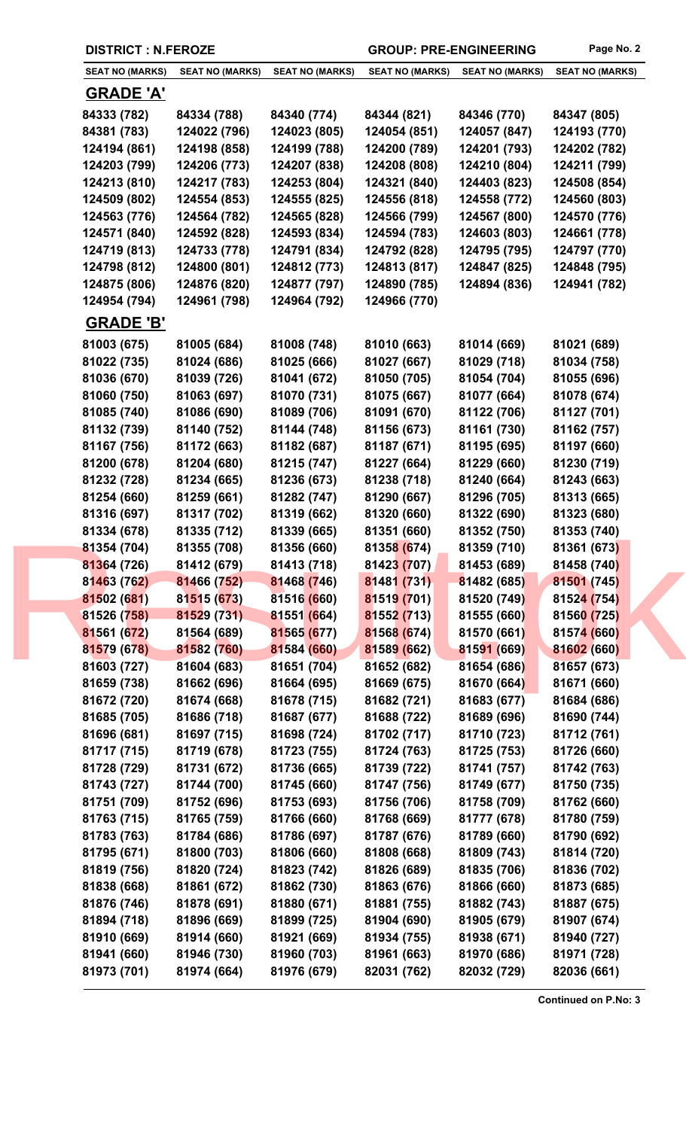| <b>SEAT NO (MARKS)</b>     | <b>SEAT NO (MARKS)</b>     | <b>SEAT NO (MARKS)</b>     | <b>SEAT NO (MARKS)</b>     | <b>SEAT NO (MARKS)</b>     | <b>SEAT NO (MARKS)</b>     |
|----------------------------|----------------------------|----------------------------|----------------------------|----------------------------|----------------------------|
| <b>GRADE 'A'</b>           |                            |                            |                            |                            |                            |
| 84333 (782)                | 84334 (788)                | 84340 (774)                | 84344 (821)                | 84346 (770)                | 84347 (805)                |
| 84381 (783)                | 124022 (796)               | 124023 (805)               | 124054 (851)               | 124057 (847)               | 124193 (770)               |
| 124194 (861)               | 124198 (858)               | 124199 (788)               | 124200 (789)               | 124201 (793)               | 124202 (782)               |
| 124203 (799)               | 124206 (773)               | 124207 (838)               | 124208 (808)               | 124210 (804)               | 124211 (799)               |
| 124213 (810)               | 124217 (783)               | 124253 (804)               | 124321 (840)               | 124403 (823)               | 124508 (854)               |
| 124509 (802)               | 124554 (853)               | 124555 (825)               | 124556 (818)               | 124558 (772)               | 124560 (803)               |
| 124563 (776)               | 124564 (782)               | 124565 (828)               | 124566 (799)               | 124567 (800)               | 124570 (776)               |
| 124571 (840)               | 124592 (828)               | 124593 (834)               | 124594 (783)               | 124603 (803)               | 124661 (778)               |
| 124719 (813)               | 124733 (778)               | 124791 (834)               | 124792 (828)               | 124795 (795)               | 124797 (770)               |
| 124798 (812)               | 124800 (801)               | 124812 (773)               | 124813 (817)               | 124847 (825)               | 124848 (795)               |
| 124875 (806)               | 124876 (820)               | 124877 (797)               | 124890 (785)               | 124894 (836)               | 124941 (782)               |
| 124954 (794)               | 124961 (798)               | 124964 (792)               | 124966 (770)               |                            |                            |
| <b>GRADE 'B'</b>           |                            |                            |                            |                            |                            |
| 81003 (675)                | 81005 (684)                | 81008 (748)                | 81010 (663)                | 81014 (669)                | 81021 (689)                |
| 81022 (735)                | 81024 (686)                | 81025 (666)                | 81027 (667)                | 81029 (718)                | 81034 (758)                |
| 81036 (670)                | 81039 (726)                | 81041 (672)                | 81050 (705)                | 81054 (704)                | 81055 (696)                |
| 81060 (750)                | 81063 (697)                | 81070 (731)                | 81075 (667)                | 81077 (664)                | 81078 (674)                |
| 81085 (740)                | 81086 (690)                | 81089 (706)                | 81091 (670)                | 81122 (706)                | 81127 (701)                |
| 81132 (739)                | 81140 (752)                | 81144 (748)                | 81156 (673)                | 81161 (730)                | 81162 (757)                |
| 81167 (756)                | 81172 (663)                | 81182 (687)                | 81187 (671)                | 81195 (695)                | 81197 (660)                |
| 81200 (678)                | 81204 (680)                | 81215 (747)                | 81227 (664)                | 81229 (660)                | 81230 (719)                |
| 81232 (728)                | 81234 (665)                | 81236 (673)                | 81238 (718)                | 81240 (664)                | 81243 (663)                |
| 81254 (660)                | 81259 (661)                | 81282 (747)                | 81290 (667)                | 81296 (705)                | 81313 (665)                |
| 81316 (697)                | 81317 (702)                | 81319 (662)                | 81320 (660)                | 81322 (690)                | 81323 (680)                |
| 81334 (678)                | 81335 (712)                | 81339 (665)                | 81351 (660)                | 81352 (750)                | 81353 (740)                |
| 81354 (704)                | 81355 (708)                | 81356 (660)                | 81358 (674)                | 81359 (710)                | 81361 (673)                |
| 81364 (726)                | 81412 (679)                | 81413 (718)                | 81423 (707)                | 81453 (689)                | 81458 (740)                |
| 81463 (762)                | 81466 (752)<br>81515 (673) | 81468 (746)<br>81516 (660) | 81481 (731)<br>81519 (701) | 81482 (685)                | 81501 (745)                |
| 81502 (681)<br>81526 (758) | 81529 (731)                | 81551 (664)                | 81552 (713)                | 81520 (749)<br>81555 (660) | 81524 (754)<br>81560 (725) |
| 81561 (672)                | 81564 (689)                | 81565 (677)                | 81568 (674)                | 81570 (661)                | 81574 (660)                |
| 81579 (678)                | 81582 (760)                | 81584 (660)                | 81589 (662)                | 81591 (669)                | 81602 (660)                |
| 81603 (727)                | 81604 (683)                | 81651 (704)                | 81652 (682)                | 81654 (686)                | 81657 (673)                |
| 81659 (738)                | 81662 (696)                | 81664 (695)                | 81669 (675)                | 81670 (664)                | 81671 (660)                |
| 81672 (720)                | 81674 (668)                | 81678 (715)                | 81682 (721)                | 81683 (677)                | 81684 (686)                |
| 81685 (705)                | 81686 (718)                | 81687 (677)                | 81688 (722)                | 81689 (696)                | 81690 (744)                |
| 81696 (681)                | 81697 (715)                | 81698 (724)                | 81702 (717)                | 81710 (723)                | 81712 (761)                |
| 81717 (715)                | 81719 (678)                | 81723 (755)                | 81724 (763)                | 81725 (753)                | 81726 (660)                |
| 81728 (729)                | 81731 (672)                | 81736 (665)                | 81739 (722)                | 81741 (757)                | 81742 (763)                |
| 81743 (727)                | 81744 (700)                | 81745 (660)                | 81747 (756)                | 81749 (677)                | 81750 (735)                |
| 81751 (709)                | 81752 (696)                | 81753 (693)                | 81756 (706)                | 81758 (709)                | 81762 (660)                |
| 81763 (715)                | 81765 (759)                | 81766 (660)                | 81768 (669)                | 81777 (678)                | 81780 (759)                |
| 81783 (763)                | 81784 (686)                | 81786 (697)                | 81787 (676)                | 81789 (660)                | 81790 (692)                |
| 81795 (671)                | 81800 (703)                | 81806 (660)                | 81808 (668)                | 81809 (743)                | 81814 (720)                |
| 81819 (756)                | 81820 (724)                | 81823 (742)                | 81826 (689)                | 81835 (706)                | 81836 (702)                |
| 81838 (668)                | 81861 (672)                | 81862 (730)                | 81863 (676)                | 81866 (660)                | 81873 (685)                |
| 81876 (746)                | 81878 (691)                | 81880 (671)                | 81881 (755)                | 81882 (743)                | 81887 (675)                |
| 81894 (718)                | 81896 (669)                | 81899 (725)                | 81904 (690)                | 81905 (679)                | 81907 (674)                |
| 81910 (669)                | 81914 (660)                | 81921 (669)                | 81934 (755)                | 81938 (671)                | 81940 (727)                |
| 81941 (660)                | 81946 (730)                | 81960 (703)                | 81961 (663)                | 81970 (686)                | 81971 (728)                |
| 81973 (701)                | 81974 (664)                | 81976 (679)                | 82031 (762)                | 82032 (729)                | 82036 (661)                |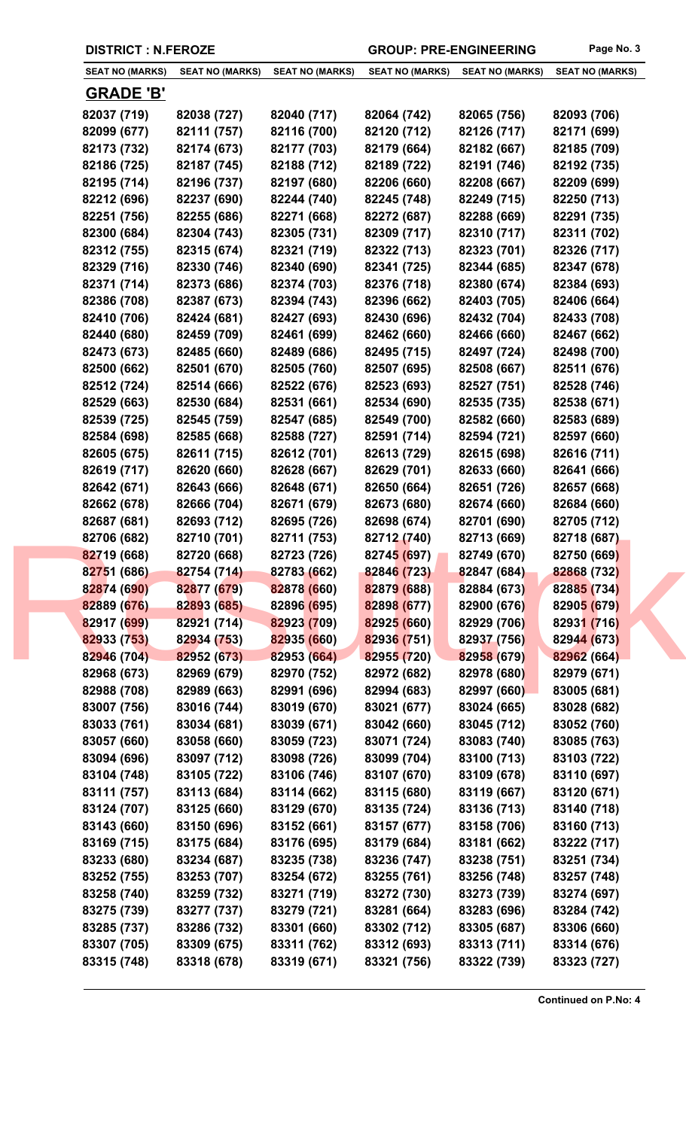|  | <b>DISTRICT : N.FEROZE</b> |
|--|----------------------------|
|--|----------------------------|

GROUP: PRE-ENGINEERING Page No. 3

| <b>SEAT NO (MARKS)</b> | <b>SEAT NO (MARKS)</b> | <b>SEAT NO (MARKS)</b> | <b>SEAT NO (MARKS)</b> | <b>SEAT NO (MARKS)</b> | <b>SEAT NO (MARKS)</b> |
|------------------------|------------------------|------------------------|------------------------|------------------------|------------------------|
|                        |                        |                        |                        |                        |                        |
| <b>GRADE 'B'</b>       |                        |                        |                        |                        |                        |
| 82037 (719)            | 82038 (727)            | 82040 (717)            | 82064 (742)            | 82065 (756)            | 82093 (706)            |
| 82099 (677)            | 82111 (757)            | 82116 (700)            | 82120 (712)            | 82126 (717)            | 82171 (699)            |
| 82173 (732)            | 82174 (673)            | 82177 (703)            | 82179 (664)            | 82182 (667)            | 82185 (709)            |
| 82186 (725)            | 82187 (745)            | 82188 (712)            | 82189 (722)            | 82191 (746)            | 82192 (735)            |
| 82195 (714)            | 82196 (737)            | 82197 (680)            | 82206 (660)            | 82208 (667)            | 82209 (699)            |
| 82212 (696)            | 82237 (690)            | 82244 (740)            | 82245 (748)            | 82249 (715)            | 82250 (713)            |
| 82251 (756)            | 82255 (686)            | 82271 (668)            | 82272 (687)            | 82288 (669)            | 82291 (735)            |
| 82300 (684)            | 82304 (743)            | 82305 (731)            | 82309 (717)            | 82310 (717)            | 82311 (702)            |
| 82312 (755)            | 82315 (674)            | 82321 (719)            | 82322 (713)            | 82323 (701)            | 82326 (717)            |
| 82329 (716)            | 82330 (746)            | 82340 (690)            | 82341 (725)            | 82344 (685)            | 82347 (678)            |
| 82371 (714)            | 82373 (686)            | 82374 (703)            | 82376 (718)            | 82380 (674)            | 82384 (693)            |
| 82386 (708)            | 82387 (673)            | 82394 (743)            | 82396 (662)            | 82403 (705)            | 82406 (664)            |
| 82410 (706)            | 82424 (681)            | 82427 (693)            | 82430 (696)            | 82432 (704)            | 82433 (708)            |
| 82440 (680)            | 82459 (709)            | 82461 (699)            | 82462 (660)            | 82466 (660)            | 82467 (662)            |
| 82473 (673)            | 82485 (660)            | 82489 (686)            | 82495 (715)            | 82497 (724)            | 82498 (700)            |
| 82500 (662)            | 82501 (670)            | 82505 (760)            | 82507 (695)            | 82508 (667)            | 82511 (676)            |
| 82512 (724)            | 82514 (666)            | 82522 (676)            | 82523 (693)            | 82527 (751)            | 82528 (746)            |
| 82529 (663)            | 82530 (684)            | 82531 (661)            | 82534 (690)            | 82535 (735)            | 82538 (671)            |
| 82539 (725)            | 82545 (759)            | 82547 (685)            | 82549 (700)            | 82582 (660)            | 82583 (689)            |
| 82584 (698)            | 82585 (668)            | 82588 (727)            | 82591 (714)            | 82594 (721)            | 82597 (660)            |
| 82605 (675)            | 82611 (715)            | 82612 (701)            | 82613 (729)            | 82615 (698)            | 82616 (711)            |
| 82619 (717)            | 82620 (660)            | 82628 (667)            | 82629 (701)            | 82633 (660)            | 82641 (666)            |
| 82642 (671)            | 82643 (666)            | 82648 (671)            | 82650 (664)            | 82651 (726)            | 82657 (668)            |
| 82662 (678)            | 82666 (704)            | 82671 (679)            | 82673 (680)            | 82674 (660)            | 82684 (660)            |
| 82687 (681)            | 82693 (712)            | 82695 (726)            | 82698 (674)            | 82701 (690)            | 82705 (712)            |
| 82706 (682)            | 82710 (701)            | 82711 (753)            | 82712 (740)            | 82713 (669)            | 82718 (687)            |
| 82719 (668)            | 82720 (668)            | 82723 (726)            | 82745 (697)            | 82749 (670)            | 82750 (669)            |
| 82751 (686)            | 82754 (714)            | 82783 (662)            | 82846 (723)            | 82847 (684)            | 82868 (732)            |
| 82874 (690)            | 82877 (679)            | 82878 (660)            | 82879 (688)            | 82884 (673)            | 82885 (734)            |
| 82889 (676)            | 82893 (685)            | 82896 (695)            | 82898 (677)            | 82900 (676)            | 82905 (679)            |
| 82917 (699)            | 82921 (714)            | 82923 (709)            | 82925 (660)            | 82929 (706)            | 82931 (716)            |
| 82933 (753)            | 82934 (753)            | 82935 (660)            | 82936 (751)            | 82937 (756)            | 82944 (673)            |
| 82946 (704)            | 82952 (673)            | 82953 (664)            | 82955 (720)            | 82958 (679)            | 82962 (664)            |
| 82968 (673)            | 82969 (679)            | 82970 (752)            | 82972 (682)            | 82978 (680)            | 82979 (671)            |
| 82988 (708)            | 82989 (663)            | 82991 (696)            | 82994 (683)            | 82997 (660)            | 83005 (681)            |
| 83007 (756)            | 83016 (744)            | 83019 (670)            | 83021 (677)            | 83024 (665)            | 83028 (682)            |
| 83033 (761)            | 83034 (681)            | 83039 (671)            | 83042 (660)            | 83045 (712)            | 83052 (760)            |
| 83057 (660)            | 83058 (660)            | 83059 (723)            | 83071 (724)            | 83083 (740)            | 83085 (763)            |
| 83094 (696)            | 83097 (712)            | 83098 (726)            | 83099 (704)            | 83100 (713)            | 83103 (722)            |
| 83104 (748)            | 83105 (722)            | 83106 (746)            | 83107 (670)            | 83109 (678)            | 83110 (697)            |
| 83111 (757)            | 83113 (684)            | 83114 (662)            | 83115 (680)            | 83119 (667)            | 83120 (671)            |
| 83124 (707)            | 83125 (660)            | 83129 (670)            | 83135 (724)            | 83136 (713)            | 83140 (718)            |
| 83143 (660)            | 83150 (696)            | 83152 (661)            | 83157 (677)            | 83158 (706)            | 83160 (713)            |
| 83169 (715)            | 83175 (684)            | 83176 (695)            | 83179 (684)            | 83181 (662)            | 83222 (717)            |
| 83233 (680)            | 83234 (687)            | 83235 (738)            | 83236 (747)            | 83238 (751)            | 83251 (734)            |
| 83252 (755)            | 83253 (707)            | 83254 (672)            | 83255 (761)            | 83256 (748)            | 83257 (748)            |
| 83258 (740)            | 83259 (732)            | 83271 (719)            | 83272 (730)            | 83273 (739)            | 83274 (697)            |
| 83275 (739)            | 83277 (737)            | 83279 (721)            | 83281 (664)            | 83283 (696)            | 83284 (742)            |
| 83285 (737)            | 83286 (732)            | 83301 (660)            | 83302 (712)            | 83305 (687)            | 83306 (660)            |
| 83307 (705)            | 83309 (675)            | 83311 (762)            | 83312 (693)            | 83313 (711)            | 83314 (676)            |
| 83315 (748)            | 83318 (678)            | 83319 (671)            | 83321 (756)            | 83322 (739)            | 83323 (727)            |
|                        |                        |                        |                        |                        |                        |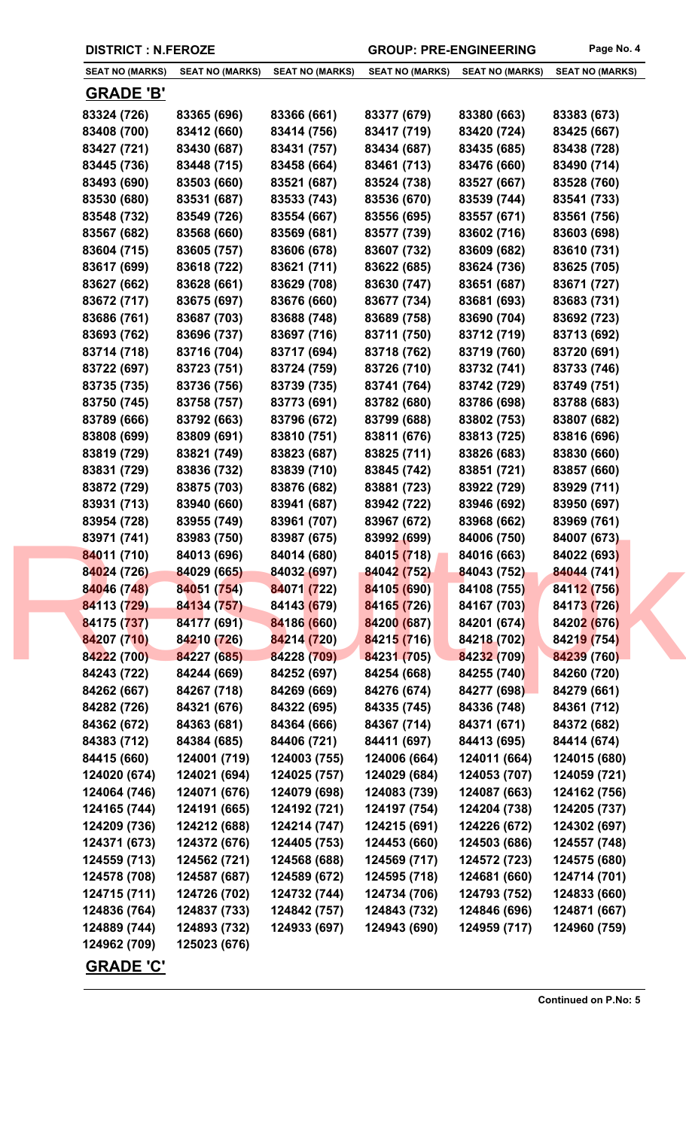| <b>SEAT NO (MARKS)</b> | <b>SEAT NO (MARKS)</b> | <b>SEAT NO (MARKS)</b> | <b>SEAT NO (MARKS)</b> | <b>SEAT NO (MARKS)</b> | <b>SEAT NO (MARKS)</b> |
|------------------------|------------------------|------------------------|------------------------|------------------------|------------------------|
| <b>GRADE 'B'</b>       |                        |                        |                        |                        |                        |
| 83324 (726)            | 83365 (696)            | 83366 (661)            | 83377 (679)            | 83380 (663)            | 83383 (673)            |
| 83408 (700)            | 83412 (660)            | 83414 (756)            | 83417 (719)            | 83420 (724)            | 83425 (667)            |
| 83427 (721)            | 83430 (687)            | 83431 (757)            | 83434 (687)            | 83435 (685)            | 83438 (728)            |
| 83445 (736)            | 83448 (715)            | 83458 (664)            | 83461 (713)            | 83476 (660)            | 83490 (714)            |
| 83493 (690)            | 83503 (660)            | 83521 (687)            | 83524 (738)            | 83527 (667)            | 83528 (760)            |
| 83530 (680)            | 83531 (687)            | 83533 (743)            | 83536 (670)            | 83539 (744)            | 83541 (733)            |
| 83548 (732)            | 83549 (726)            | 83554 (667)            | 83556 (695)            | 83557 (671)            | 83561 (756)            |
| 83567 (682)            | 83568 (660)            | 83569 (681)            | 83577 (739)            | 83602 (716)            | 83603 (698)            |
| 83604 (715)            | 83605 (757)            | 83606 (678)            | 83607 (732)            | 83609 (682)            | 83610 (731)            |
| 83617 (699)            | 83618 (722)            | 83621 (711)            | 83622 (685)            | 83624 (736)            | 83625 (705)            |
| 83627 (662)            | 83628 (661)            | 83629 (708)            | 83630 (747)            | 83651 (687)            | 83671 (727)            |
| 83672 (717)            | 83675 (697)            | 83676 (660)            | 83677 (734)            | 83681 (693)            | 83683 (731)            |
| 83686 (761)            | 83687 (703)            | 83688 (748)            | 83689 (758)            | 83690 (704)            | 83692 (723)            |
| 83693 (762)            | 83696 (737)            | 83697 (716)            | 83711 (750)            | 83712 (719)            | 83713 (692)            |
| 83714 (718)            | 83716 (704)            | 83717 (694)            | 83718 (762)            | 83719 (760)            | 83720 (691)            |
|                        |                        |                        | 83726 (710)            |                        |                        |
| 83722 (697)            | 83723 (751)            | 83724 (759)            |                        | 83732 (741)            | 83733 (746)            |
| 83735 (735)            | 83736 (756)            | 83739 (735)            | 83741 (764)            | 83742 (729)            | 83749 (751)            |
| 83750 (745)            | 83758 (757)            | 83773 (691)            | 83782 (680)            | 83786 (698)            | 83788 (683)            |
| 83789 (666)            | 83792 (663)            | 83796 (672)            | 83799 (688)            | 83802 (753)            | 83807 (682)            |
| 83808 (699)            | 83809 (691)            | 83810 (751)            | 83811 (676)            | 83813 (725)            | 83816 (696)            |
| 83819 (729)            | 83821 (749)            | 83823 (687)            | 83825 (711)            | 83826 (683)            | 83830 (660)            |
| 83831 (729)            | 83836 (732)            | 83839 (710)            | 83845 (742)            | 83851 (721)            | 83857 (660)            |
| 83872 (729)            | 83875 (703)            | 83876 (682)            | 83881 (723)            | 83922 (729)            | 83929 (711)            |
| 83931 (713)            | 83940 (660)            | 83941 (687)            | 83942 (722)            | 83946 (692)            | 83950 (697)            |
| 83954 (728)            | 83955 (749)            | 83961 (707)            | 83967 (672)            | 83968 (662)            | 83969 (761)            |
| 83971 (741)            | 83983 (750)            | 83987 (675)            | 83992 (699)            | 84006 (750)            | 84007 (673)            |
| 84011 (710)            | 84013 (696)            | 84014 (680)            | 84015 (718)            | 84016 (663)            | 84022 (693)            |
| 84024 (726)            | 84029 (665)            | 84032 (697)            | 84042 (752)            | 84043 (752)            | 84044 (741)            |
| 84046 (748)            | 84051 (754)            | 84071 (722)            | 84105 (690)            | 84108 (755)            | 84112 (756)            |
| 84113 (729)            | 84134 (757)            | 84143 (679)            | 84165 (726)            | 84167 (703)            | 84173 (726)            |
| 84175 (737)            | 84177 (691)            | 84186 (660)            | 84200 (687)            | 84201 (674)            | 84202 (676)            |
| 84207 (710)            | 84210 (726)            | 84214 (720)            | 84215 (716)            | 84218 (702)            | 84219 (754)            |
| 84222 (700)            | 84227 (685)            | 84228 (709)            | 84231 (705)            | 84232 (709)            | 84239 (760)            |
| 84243 (722)            | 84244 (669)            | 84252 (697)            | 84254 (668)            | 84255 (740)            | 84260 (720)            |
| 84262 (667)            | 84267 (718)            | 84269 (669)            | 84276 (674)            | 84277 (698)            | 84279 (661)            |
| 84282 (726)            | 84321 (676)            | 84322 (695)            | 84335 (745)            | 84336 (748)            | 84361 (712)            |
| 84362 (672)            | 84363 (681)            | 84364 (666)            | 84367 (714)            | 84371 (671)            | 84372 (682)            |
| 84383 (712)            | 84384 (685)            | 84406 (721)            | 84411 (697)            | 84413 (695)            | 84414 (674)            |
| 84415 (660)            | 124001 (719)           | 124003 (755)           | 124006 (664)           | 124011 (664)           | 124015 (680)           |
| 124020 (674)           | 124021 (694)           | 124025 (757)           | 124029 (684)           | 124053 (707)           | 124059 (721)           |
| 124064 (746)           | 124071 (676)           | 124079 (698)           | 124083 (739)           | 124087 (663)           | 124162 (756)           |
| 124165 (744)           | 124191 (665)           | 124192 (721)           | 124197 (754)           | 124204 (738)           | 124205 (737)           |
| 124209 (736)           | 124212 (688)           | 124214 (747)           | 124215 (691)           | 124226 (672)           | 124302 (697)           |
| 124371 (673)           | 124372 (676)           | 124405 (753)           | 124453 (660)           | 124503 (686)           | 124557 (748)           |
|                        |                        |                        |                        |                        |                        |
| 124559 (713)           | 124562 (721)           | 124568 (688)           | 124569 (717)           | 124572 (723)           | 124575 (680)           |
| 124578 (708)           | 124587 (687)           | 124589 (672)           | 124595 (718)           | 124681 (660)           | 124714 (701)           |
| 124715 (711)           | 124726 (702)           | 124732 (744)           | 124734 (706)           | 124793 (752)           | 124833 (660)           |
| 124836 (764)           | 124837 (733)           | 124842 (757)           | 124843 (732)           | 124846 (696)           | 124871 (667)           |
| 124889 (744)           | 124893 (732)           | 124933 (697)           | 124943 (690)           | 124959 (717)           | 124960 (759)           |
| 124962 (709)           | 125023 (676)           |                        |                        |                        |                        |
| <b>GRADE 'C'</b>       |                        |                        |                        |                        |                        |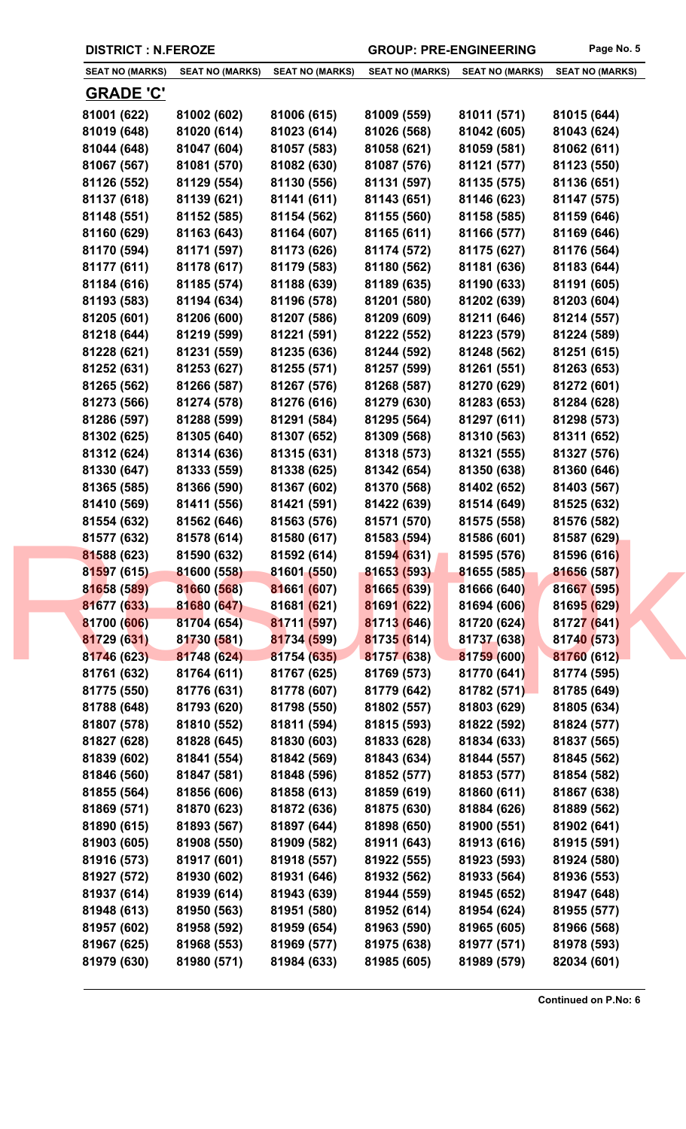|  |  | <b>DISTRICT : N.FEROZE</b> |
|--|--|----------------------------|
|--|--|----------------------------|

GROUP: PRE-ENGINEERING Page No. 5

| <b>SEAT NO (MARKS)</b> | <b>SEAT NO (MARKS)</b> | <b>SEAT NO (MARKS)</b> | <b>SEAT NO (MARKS)</b>     | <b>SEAT NO (MARKS)</b> | <b>SEAT NO (MARKS)</b> |
|------------------------|------------------------|------------------------|----------------------------|------------------------|------------------------|
| <b>GRADE 'C'</b>       |                        |                        |                            |                        |                        |
| 81001 (622)            | 81002 (602)            | 81006 (615)            | 81009 (559)                | 81011 (571)            | 81015 (644)            |
| 81019 (648)            | 81020 (614)            | 81023 (614)            | 81026 (568)                | 81042 (605)            | 81043 (624)            |
| 81044 (648)            | 81047 (604)            | 81057 (583)            | 81058 (621)                | 81059 (581)            | 81062 (611)            |
| 81067 (567)            | 81081 (570)            | 81082 (630)            | 81087 (576)                | 81121 (577)            | 81123 (550)            |
| 81126 (552)            | 81129 (554)            | 81130 (556)            | 81131 (597)                | 81135 (575)            | 81136 (651)            |
| 81137 (618)            | 81139 (621)            | 81141 (611)            | 81143 (651)                | 81146 (623)            | 81147 (575)            |
| 81148 (551)            | 81152 (585)            | 81154 (562)            | 81155 (560)                | 81158 (585)            | 81159 (646)            |
| 81160 (629)            | 81163 (643)            | 81164 (607)            | 81165 (611)                | 81166 (577)            | 81169 (646)            |
| 81170 (594)            | 81171 (597)            | 81173 (626)            | 81174 (572)                | 81175 (627)            | 81176 (564)            |
| 81177 (611)            | 81178 (617)            | 81179 (583)            | 81180 (562)                | 81181 (636)            | 81183 (644)            |
| 81184 (616)            | 81185 (574)            | 81188 (639)            | 81189 (635)                | 81190 (633)            | 81191 (605)            |
| 81193 (583)            | 81194 (634)            | 81196 (578)            | 81201 (580)                | 81202 (639)            | 81203 (604)            |
| 81205 (601)            | 81206 (600)            | 81207 (586)            | 81209 (609)                | 81211 (646)            | 81214 (557)            |
| 81218 (644)            | 81219 (599)            | 81221 (591)            | 81222 (552)                | 81223 (579)            | 81224 (589)            |
| 81228 (621)            | 81231 (559)            | 81235 (636)            | 81244 (592)                | 81248 (562)            | 81251 (615)            |
| 81252 (631)            | 81253 (627)            | 81255 (571)            | 81257 (599)                | 81261 (551)            | 81263 (653)            |
| 81265 (562)            | 81266 (587)            | 81267 (576)            | 81268 (587)                | 81270 (629)            | 81272 (601)            |
| 81273 (566)            | 81274 (578)            | 81276 (616)            | 81279 (630)                | 81283 (653)            | 81284 (628)            |
| 81286 (597)            | 81288 (599)            | 81291 (584)            | 81295 (564)                | 81297 (611)            |                        |
|                        |                        | 81307 (652)            | 81309 (568)                | 81310 (563)            | 81298 (573)            |
| 81302 (625)            | 81305 (640)            |                        |                            |                        | 81311 (652)            |
| 81312 (624)            | 81314 (636)            | 81315 (631)            | 81318 (573)                | 81321 (555)            | 81327 (576)            |
| 81330 (647)            | 81333 (559)            | 81338 (625)            | 81342 (654)                | 81350 (638)            | 81360 (646)            |
| 81365 (585)            | 81366 (590)            | 81367 (602)            | 81370 (568)<br>81422 (639) | 81402 (652)            | 81403 (567)            |
| 81410 (569)            | 81411 (556)            | 81421 (591)            |                            | 81514 (649)            | 81525 (632)            |
| 81554 (632)            | 81562 (646)            | 81563 (576)            | 81571 (570)                | 81575 (558)            | 81576 (582)            |
| 81577 (632)            | 81578 (614)            | 81580 (617)            | 81583 (594)                | 81586 (601)            | 81587 (629)            |
| 81588 (623)            | 81590 (632)            | 81592 (614)            | 81594(631)                 | 81595 (576)            | 81596 (616)            |
| 81597 (615)            | 81600 (558)            | 81601 (550)            | 81653 (593)                | 81655 (585)            | 81656 (587)            |
| 81658 (589)            | 81660 (568)            | 81661 (607)            | 81665 (639)                | 81666 (640)            | 81667 (595)            |
| 81677 (633)            | 81680 (647)            | 81681 (621)            | 81691 (622)                | 81694 (606)            | 81695 (629)            |
| 81700 (606)            | 81704 (654)            | 81711 (597)            | 81713 (646)                | 81720 (624)            | 81727 (641)            |
| 81729 (631)            | 81730 (581)            | 81734 (599)            | 81735 (614)                | 81737 (638)            | 81740 (573)            |
| 81746 (623)            | 81748 (624)            | 81754 (635)            | 81757 (638)                | 81759 (600)            | 81760 (612)            |
| 81761 (632)            | 81764 (611)            | 81767 (625)            | 81769 (573)                | 81770 (641)            | 81774 (595)            |
| 81775 (550)            | 81776 (631)            | 81778 (607)            | 81779 (642)                | 81782 (571)            | 81785 (649)            |
| 81788 (648)            | 81793 (620)            | 81798 (550)            | 81802 (557)                | 81803 (629)            | 81805 (634)            |
| 81807 (578)            | 81810 (552)            | 81811 (594)            | 81815 (593)                | 81822 (592)            | 81824 (577)            |
| 81827 (628)            | 81828 (645)            | 81830 (603)            | 81833 (628)                | 81834 (633)            | 81837 (565)            |
| 81839 (602)            | 81841 (554)            | 81842 (569)            | 81843 (634)                | 81844 (557)            | 81845 (562)            |
| 81846 (560)            | 81847 (581)            | 81848 (596)            | 81852 (577)                | 81853 (577)            | 81854 (582)            |
| 81855 (564)            | 81856 (606)            | 81858 (613)            | 81859 (619)                | 81860 (611)            | 81867 (638)            |
| 81869 (571)            | 81870 (623)            | 81872 (636)            | 81875 (630)                | 81884 (626)            | 81889 (562)            |
| 81890 (615)            | 81893 (567)            | 81897 (644)            | 81898 (650)                | 81900 (551)            | 81902 (641)            |
| 81903 (605)            | 81908 (550)            | 81909 (582)            | 81911 (643)                | 81913 (616)            | 81915 (591)            |
| 81916 (573)            | 81917 (601)            | 81918 (557)            | 81922 (555)                | 81923 (593)            | 81924 (580)            |
| 81927 (572)            | 81930 (602)            | 81931 (646)            | 81932 (562)                | 81933 (564)            | 81936 (553)            |
| 81937 (614)            | 81939 (614)            | 81943 (639)            | 81944 (559)                | 81945 (652)            | 81947 (648)            |
| 81948 (613)            | 81950 (563)            | 81951 (580)            | 81952 (614)                | 81954 (624)            | 81955 (577)            |
| 81957 (602)            | 81958 (592)            | 81959 (654)            | 81963 (590)                | 81965 (605)            | 81966 (568)            |
| 81967 (625)            | 81968 (553)            | 81969 (577)            | 81975 (638)                | 81977 (571)            | 81978 (593)            |
| 81979 (630)            | 81980 (571)            | 81984 (633)            | 81985 (605)                | 81989 (579)            | 82034 (601)            |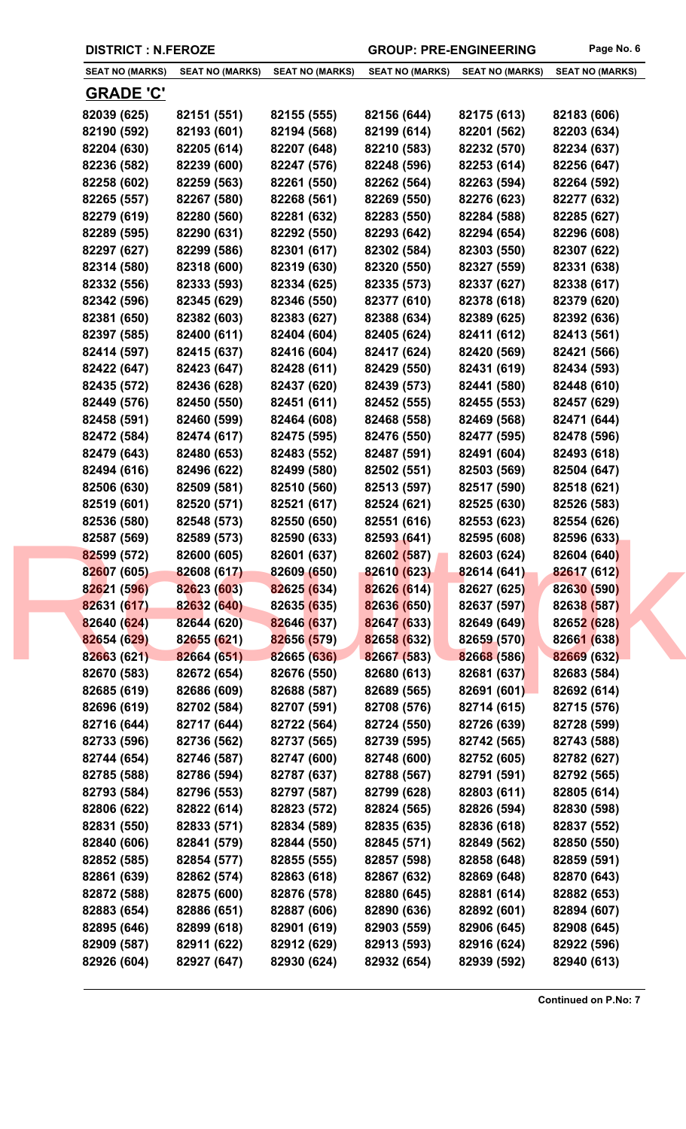|             | <b>SEAT NO (MARKS)</b> | <b>SEAT NO (MARKS)</b> | <b>SEAT NO (MARKS)</b> | <b>SEAT NO (MARKS)</b> | <b>SEAT NO (MARKS)</b> | <b>SEAT NO (MARKS)</b> |
|-------------|------------------------|------------------------|------------------------|------------------------|------------------------|------------------------|
|             | <u>GRADE 'C'</u>       |                        |                        |                        |                        |                        |
|             | 82039 (625)            | 82151 (551)            | 82155 (555)            | 82156 (644)            | 82175 (613)            | 82183 (606)            |
|             | 82190 (592)            | 82193 (601)            | 82194 (568)            | 82199 (614)            | 82201 (562)            | 82203 (634)            |
|             | 82204 (630)            | 82205 (614)            | 82207 (648)            | 82210 (583)            | 82232 (570)            | 82234 (637)            |
|             | 82236 (582)            | 82239 (600)            | 82247 (576)            | 82248 (596)            | 82253 (614)            | 82256 (647)            |
|             | 82258 (602)            | 82259 (563)            | 82261 (550)            | 82262 (564)            | 82263 (594)            | 82264 (592)            |
|             | 82265 (557)            | 82267 (580)            | 82268 (561)            | 82269 (550)            | 82276 (623)            | 82277 (632)            |
|             | 82279 (619)            | 82280 (560)            | 82281 (632)            | 82283 (550)            | 82284 (588)            | 82285 (627)            |
|             | 82289 (595)            | 82290 (631)            | 82292 (550)            | 82293 (642)            | 82294 (654)            | 82296 (608)            |
|             | 82297 (627)            | 82299 (586)            | 82301 (617)            | 82302 (584)            | 82303 (550)            | 82307 (622)            |
|             | 82314 (580)            | 82318 (600)            | 82319 (630)            | 82320 (550)            | 82327 (559)            | 82331 (638)            |
|             | 82332 (556)            | 82333 (593)            | 82334 (625)            | 82335 (573)            | 82337 (627)            | 82338 (617)            |
|             | 82342 (596)            | 82345 (629)            | 82346 (550)            | 82377 (610)            | 82378 (618)            | 82379 (620)            |
|             | 82381 (650)            | 82382 (603)            | 82383 (627)            | 82388 (634)            | 82389 (625)            | 82392 (636)            |
|             | 82397 (585)            | 82400 (611)            | 82404 (604)            | 82405 (624)            | 82411 (612)            | 82413 (561)            |
|             | 82414 (597)            | 82415 (637)            | 82416 (604)            | 82417 (624)            | 82420 (569)            | 82421 (566)            |
|             | 82422 (647)            | 82423 (647)            | 82428 (611)            | 82429 (550)            | 82431 (619)            | 82434 (593)            |
|             | 82435 (572)            | 82436 (628)            | 82437 (620)            | 82439 (573)            | 82441 (580)            | 82448 (610)            |
|             | 82449 (576)            | 82450 (550)            | 82451 (611)            | 82452 (555)            | 82455 (553)            | 82457 (629)            |
|             | 82458 (591)            | 82460 (599)            | 82464 (608)            | 82468 (558)            | 82469 (568)            | 82471 (644)            |
|             | 82472 (584)            | 82474 (617)            | 82475 (595)            | 82476 (550)            | 82477 (595)            | 82478 (596)            |
|             | 82479 (643)            | 82480 (653)            | 82483 (552)            | 82487 (591)            | 82491 (604)            | 82493 (618)            |
|             | 82494 (616)            | 82496 (622)            | 82499 (580)            | 82502 (551)            | 82503 (569)            | 82504 (647)            |
|             | 82506 (630)            | 82509 (581)            | 82510 (560)            | 82513 (597)            | 82517 (590)            | 82518 (621)            |
|             | 82519 (601)            | 82520 (571)            | 82521 (617)            | 82524 (621)            | 82525 (630)            | 82526 (583)            |
|             | 82536 (580)            | 82548 (573)            | 82550 (650)            | 82551 (616)            | 82553 (623)            | 82554 (626)            |
|             | 82587 (569)            | 82589 (573)            | 82590 (633)            | 82593 (641)            | 82595 (608)            | 82596 (633)            |
| 82599 (572) |                        | 82600 (605)            | 82601 (637)            | 82602 (587)            | 82603 (624)            | 82604 (640)            |
|             | 82607 (605)            | 82608 (617)            | 82609 (650)            | 82610 (623)            | 82614 (641)            | 82617 (612)            |
|             | 82621 (596)            | 82623 (603)            | 82625 (634)            | 82626 (614)            | 82627 (625)            | 82630 (590)            |
|             | 82631 (617)            | 82632 (640)            | 82635 (635)            | 82636 (650)            | 82637 (597)            | 82638 (587)            |
|             | 82640 (624)            | 82644 (620)            | 82646 (637)            | 82647 (633)            | 82649 (649)            | 82652 (628)            |
|             | 82654 (629)            | 82655 (621)            | 82656 (579)            | 82658 (632)            | 82659 (570)            | 82661 (638)            |
|             | 82663 (621)            | 82664 (651)            | 82665 (636)            | 82667 (583)            | 82668 (586)            | 82669 (632)            |
|             | 82670 (583)            | 82672 (654)            | 82676 (550)            | 82680 (613)            | 82681 (637)            | 82683 (584)            |
|             | 82685 (619)            | 82686 (609)            | 82688 (587)            | 82689 (565)            | 82691 (601)            | 82692 (614)            |
|             | 82696 (619)            | 82702 (584)            | 82707 (591)            | 82708 (576)            | 82714 (615)            | 82715 (576)            |
|             | 82716 (644)            | 82717 (644)            | 82722 (564)            | 82724 (550)            | 82726 (639)            | 82728 (599)            |
|             | 82733 (596)            | 82736 (562)            | 82737 (565)            | 82739 (595)            | 82742 (565)            | 82743 (588)            |
|             | 82744 (654)            | 82746 (587)            | 82747 (600)            | 82748 (600)            | 82752 (605)            | 82782 (627)            |
|             | 82785 (588)            | 82786 (594)            | 82787 (637)            | 82788 (567)            | 82791 (591)            | 82792 (565)            |
|             | 82793 (584)            | 82796 (553)            | 82797 (587)            | 82799 (628)            | 82803 (611)            | 82805 (614)            |
|             | 82806 (622)            | 82822 (614)            | 82823 (572)            | 82824 (565)            | 82826 (594)            | 82830 (598)            |
|             | 82831 (550)            | 82833 (571)            | 82834 (589)            | 82835 (635)            | 82836 (618)            | 82837 (552)            |
|             | 82840 (606)            | 82841 (579)            | 82844 (550)            | 82845 (571)            | 82849 (562)            | 82850 (550)            |
|             | 82852 (585)            | 82854 (577)            | 82855 (555)            | 82857 (598)            | 82858 (648)            | 82859 (591)            |
|             | 82861 (639)            | 82862 (574)            | 82863 (618)            | 82867 (632)            | 82869 (648)            | 82870 (643)            |
|             | 82872 (588)            | 82875 (600)            | 82876 (578)            | 82880 (645)            | 82881 (614)            | 82882 (653)            |
|             | 82883 (654)            | 82886 (651)            | 82887 (606)            | 82890 (636)            | 82892 (601)            | 82894 (607)            |
|             | 82895 (646)            | 82899 (618)            | 82901 (619)            | 82903 (559)            | 82906 (645)            | 82908 (645)            |
|             | 82909 (587)            | 82911 (622)            | 82912 (629)            | 82913 (593)            | 82916 (624)            | 82922 (596)            |
|             | 82926 (604)            | 82927 (647)            | 82930 (624)            | 82932 (654)            | 82939 (592)            | 82940 (613)            |
|             |                        |                        |                        |                        |                        |                        |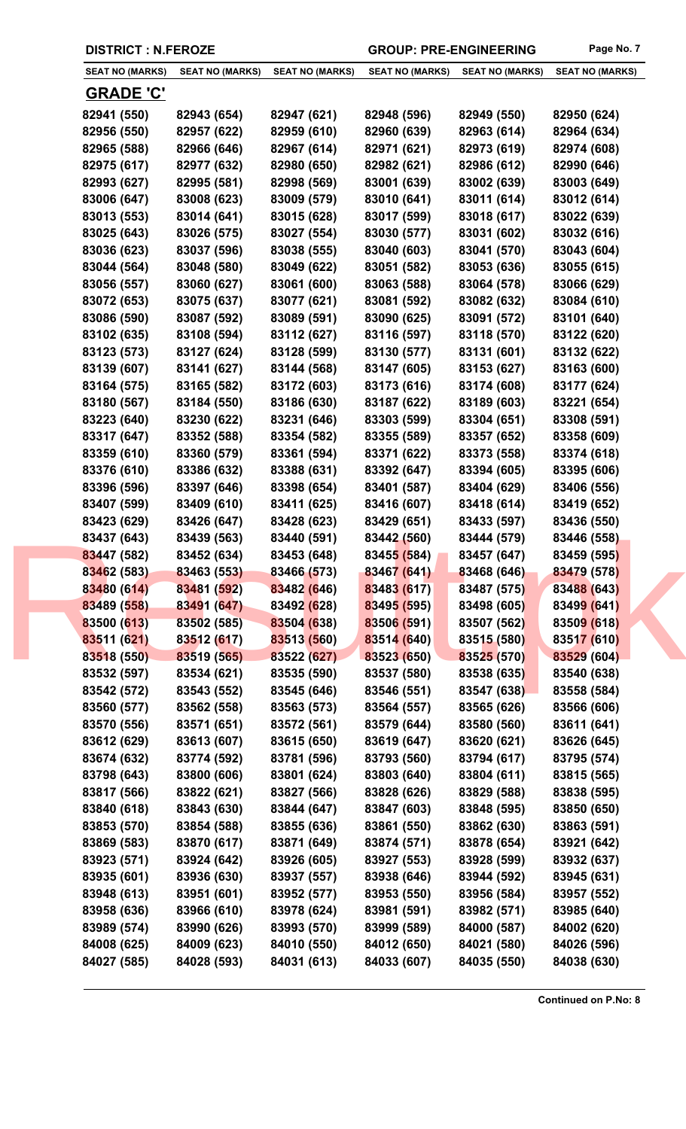| <b>SEAT NO (MARKS)</b> | <b>SEAT NO (MARKS)</b> | <b>SEAT NO (MARKS)</b> | <b>SEAT NO (MARKS)</b> | <b>SEAT NO (MARKS)</b> | <b>SEAT NO (MARKS)</b> |
|------------------------|------------------------|------------------------|------------------------|------------------------|------------------------|
|                        |                        |                        |                        |                        |                        |
| <u>GRADE 'C'</u>       |                        |                        |                        |                        |                        |
| 82941 (550)            | 82943 (654)            | 82947 (621)            | 82948 (596)            | 82949 (550)            | 82950 (624)            |
| 82956 (550)            | 82957 (622)            | 82959 (610)            | 82960 (639)            | 82963 (614)            | 82964 (634)            |
| 82965 (588)            | 82966 (646)            | 82967 (614)            | 82971 (621)            | 82973 (619)            | 82974 (608)            |
| 82975 (617)            | 82977 (632)            | 82980 (650)            | 82982 (621)            | 82986 (612)            | 82990 (646)            |
| 82993 (627)            | 82995 (581)            | 82998 (569)            | 83001 (639)            | 83002 (639)            | 83003 (649)            |
| 83006 (647)            | 83008 (623)            | 83009 (579)            | 83010 (641)            | 83011 (614)            | 83012 (614)            |
| 83013 (553)            | 83014 (641)            | 83015 (628)            | 83017 (599)            | 83018 (617)            | 83022 (639)            |
| 83025 (643)            | 83026 (575)            | 83027 (554)            | 83030 (577)            | 83031 (602)            | 83032 (616)            |
| 83036 (623)            | 83037 (596)            | 83038 (555)            | 83040 (603)            | 83041 (570)            | 83043 (604)            |
| 83044 (564)            | 83048 (580)            | 83049 (622)            | 83051 (582)            | 83053 (636)            | 83055 (615)            |
| 83056 (557)            | 83060 (627)            | 83061 (600)            | 83063 (588)            | 83064 (578)            | 83066 (629)            |
| 83072 (653)            | 83075 (637)            | 83077 (621)            | 83081 (592)            | 83082 (632)            | 83084 (610)            |
| 83086 (590)            | 83087 (592)            | 83089 (591)            | 83090 (625)            | 83091 (572)            | 83101 (640)            |
| 83102 (635)            | 83108 (594)            | 83112 (627)            | 83116 (597)            | 83118 (570)            | 83122 (620)            |
| 83123 (573)            | 83127 (624)            | 83128 (599)            | 83130 (577)            | 83131 (601)            | 83132 (622)            |
| 83139 (607)            | 83141 (627)            | 83144 (568)            | 83147 (605)            | 83153 (627)            | 83163 (600)            |
| 83164 (575)            | 83165 (582)            | 83172 (603)            | 83173 (616)            | 83174 (608)            | 83177 (624)            |
| 83180 (567)            | 83184 (550)            | 83186 (630)            | 83187 (622)            | 83189 (603)            | 83221 (654)            |
| 83223 (640)            | 83230 (622)            | 83231 (646)            | 83303 (599)            | 83304 (651)            | 83308 (591)            |
| 83317 (647)            | 83352 (588)            | 83354 (582)            | 83355 (589)            | 83357 (652)            | 83358 (609)            |
| 83359 (610)            | 83360 (579)            | 83361 (594)            | 83371 (622)            | 83373 (558)            | 83374 (618)            |
| 83376 (610)            | 83386 (632)            | 83388 (631)            | 83392 (647)            | 83394 (605)            | 83395 (606)            |
| 83396 (596)            | 83397 (646)            | 83398 (654)            | 83401 (587)            | 83404 (629)            | 83406 (556)            |
| 83407 (599)            | 83409 (610)            | 83411 (625)            | 83416 (607)            | 83418 (614)            | 83419 (652)            |
| 83423 (629)            | 83426 (647)            | 83428 (623)            | 83429 (651)            | 83433 (597)            | 83436 (550)            |
| 83437 (643)            | 83439 (563)            | 83440 (591)            | 83442 (560)            | 83444 (579)            | 83446 (558)            |
| 83447 (582)            | 83452 (634)            | 83453 (648)            | 83455 (584)            | 83457 (647)            | 83459 (595)            |
| 83462 (583)            | 83463 (553)            | 83466 (573)            | 83467 (641)            | 83468 (646)            | 83479 (578)            |
| 83480 (614)            | 83481 (592)            | 83482 (646)            | 83483 (617)            | 83487 (575)            | 83488 (643)            |
| 83489 (558)            | 83491 (647)            | 83492 (628)            | 83495 (595)            | 83498 (605)            | 83499 (641)            |
| 83500 (613)            | 83502 (585)            | 83504 (638)            | 83506 (591)            | 83507 (562)            | 83509 (618)            |
| 83511 (621)            | 83512 (617)            | 83513 (560)            | 83514 (640)            | 83515 (580)            | 83517 (610)            |
| 83518 (550)            | 83519 (565)            | 83522 (627)            | 83523 (650)            | 83525 (570)            | 83529 (604)            |
| 83532 (597)            | 83534 (621)            | 83535 (590)            | 83537 (580)            | 83538 (635)            | 83540 (638)            |
| 83542 (572)            | 83543 (552)            | 83545 (646)            | 83546 (551)            | 83547 (638)            | 83558 (584)            |
|                        |                        | 83563 (573)            |                        |                        |                        |
| 83560 (577)            | 83562 (558)            |                        | 83564 (557)            | 83565 (626)            | 83566 (606)            |
| 83570 (556)            | 83571 (651)            | 83572 (561)            | 83579 (644)            | 83580 (560)            | 83611 (641)            |
| 83612 (629)            | 83613 (607)            | 83615 (650)            | 83619 (647)            | 83620 (621)            | 83626 (645)            |
| 83674 (632)            | 83774 (592)            | 83781 (596)            | 83793 (560)            | 83794 (617)            | 83795 (574)            |
| 83798 (643)            | 83800 (606)            | 83801 (624)            | 83803 (640)            | 83804 (611)            | 83815 (565)            |
| 83817 (566)            | 83822 (621)            | 83827 (566)            | 83828 (626)            | 83829 (588)            | 83838 (595)            |
| 83840 (618)            | 83843 (630)            | 83844 (647)            | 83847 (603)            | 83848 (595)            | 83850 (650)            |
| 83853 (570)            | 83854 (588)            | 83855 (636)            | 83861 (550)            | 83862 (630)            | 83863 (591)            |
| 83869 (583)            | 83870 (617)            | 83871 (649)            | 83874 (571)            | 83878 (654)            | 83921 (642)            |
| 83923 (571)            | 83924 (642)            | 83926 (605)            | 83927 (553)            | 83928 (599)            | 83932 (637)            |
| 83935 (601)            | 83936 (630)            | 83937 (557)            | 83938 (646)            | 83944 (592)            | 83945 (631)            |
| 83948 (613)            | 83951 (601)            | 83952 (577)            | 83953 (550)            | 83956 (584)            | 83957 (552)            |
| 83958 (636)            | 83966 (610)            | 83978 (624)            | 83981 (591)            | 83982 (571)            | 83985 (640)            |
| 83989 (574)            | 83990 (626)            | 83993 (570)            | 83999 (589)            | 84000 (587)            | 84002 (620)            |
| 84008 (625)            | 84009 (623)            | 84010 (550)            | 84012 (650)            | 84021 (580)            | 84026 (596)            |
| 84027 (585)            | 84028 (593)            | 84031 (613)            | 84033 (607)            | 84035 (550)            | 84038 (630)            |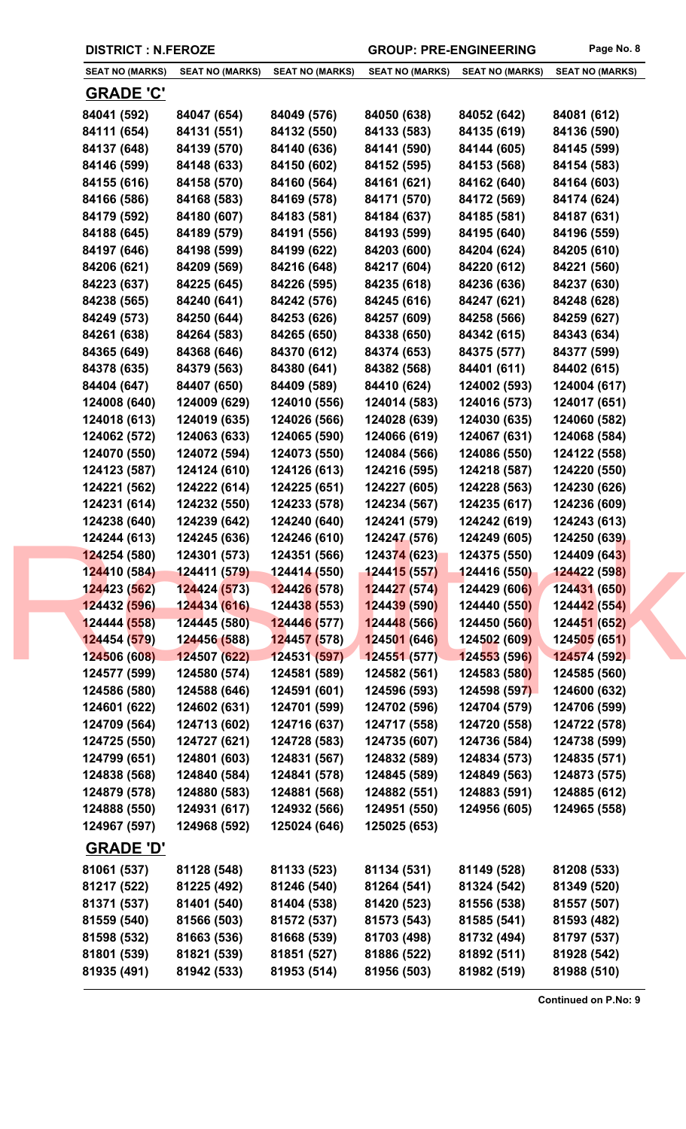| <b>SEAT NO (MARKS)</b>     | <b>SEAT NO (MARKS)</b>     | <b>SEAT NO (MARKS)</b>      | <b>SEAT NO (MARKS)</b>     | <b>SEAT NO (MARKS)</b> | <b>SEAT NO (MARKS)</b> |
|----------------------------|----------------------------|-----------------------------|----------------------------|------------------------|------------------------|
| <u>GRADE 'C'</u>           |                            |                             |                            |                        |                        |
| 84041 (592)                | 84047 (654)                | 84049 (576)                 | 84050 (638)                | 84052 (642)            | 84081 (612)            |
| 84111 (654)                | 84131 (551)                | 84132 (550)                 | 84133 (583)                | 84135 (619)            | 84136 (590)            |
| 84137 (648)                | 84139 (570)                | 84140 (636)                 | 84141 (590)                | 84144 (605)            | 84145 (599)            |
| 84146 (599)                | 84148 (633)                | 84150 (602)                 | 84152 (595)                | 84153 (568)            | 84154 (583)            |
| 84155 (616)                | 84158 (570)                | 84160 (564)                 | 84161 (621)                | 84162 (640)            | 84164 (603)            |
| 84166 (586)                | 84168 (583)                | 84169 (578)                 | 84171 (570)                | 84172 (569)            | 84174 (624)            |
| 84179 (592)                | 84180 (607)                | 84183 (581)                 | 84184 (637)                | 84185 (581)            | 84187 (631)            |
| 84188 (645)                | 84189 (579)                | 84191 (556)                 | 84193 (599)                | 84195 (640)            | 84196 (559)            |
| 84197 (646)                | 84198 (599)                | 84199 (622)                 | 84203 (600)                | 84204 (624)            | 84205 (610)            |
| 84206 (621)                | 84209 (569)                | 84216 (648)                 | 84217 (604)                | 84220 (612)            | 84221 (560)            |
| 84223 (637)                | 84225 (645)                | 84226 (595)                 | 84235 (618)                | 84236 (636)            | 84237 (630)            |
| 84238 (565)                | 84240 (641)                | 84242 (576)                 | 84245 (616)                | 84247 (621)            | 84248 (628)            |
| 84249 (573)                | 84250 (644)                | 84253 (626)                 | 84257 (609)                | 84258 (566)            | 84259 (627)            |
| 84261 (638)                | 84264 (583)                | 84265 (650)                 | 84338 (650)                | 84342 (615)            | 84343 (634)            |
| 84365 (649)                | 84368 (646)                | 84370 (612)                 | 84374 (653)                | 84375 (577)            | 84377 (599)            |
| 84378 (635)                | 84379 (563)                | 84380 (641)                 | 84382 (568)                | 84401 (611)            | 84402 (615)            |
| 84404 (647)                | 84407 (650)                | 84409 (589)                 | 84410 (624)                | 124002 (593)           | 124004 (617)           |
| 124008 (640)               | 124009 (629)               | 124010 (556)                | 124014 (583)               | 124016 (573)           | 124017 (651)           |
| 124018 (613)               | 124019 (635)               | 124026 (566)                | 124028 (639)               | 124030 (635)           | 124060 (582)           |
| 124062 (572)               | 124063 (633)               | 124065 (590)                | 124066 (619)               | 124067 (631)           | 124068 (584)           |
| 124070 (550)               | 124072 (594)               | 124073 (550)                | 124084 (566)               | 124086 (550)           | 124122 (558)           |
| 124123 (587)               | 124124 (610)               | 124126 (613)                | 124216 (595)               | 124218 (587)           | 124220 (550)           |
| 124221 (562)               | 124222 (614)               | 124225 (651)                | 124227 (605)               | 124228 (563)           | 124230 (626)           |
| 124231 (614)               | 124232 (550)               | 124233 (578)                | 124234 (567)               | 124235 (617)           | 124236 (609)           |
| 124238 (640)               | 124239 (642)               | 124240 (640)                | 124241 (579)               | 124242 (619)           | 124243 (613)           |
| 124244 (613)               | 124245 (636)               | 124246 (610)                | 124247 (576)               | 124249 (605)           | 124250 (639)           |
| 124254 (580)               | 124301 (573)               | 124351 (566)                | 124374 (623)               | 124375 (550)           | 124409 (643)           |
| 124410 (584)               | 124411 (579)  124414 (550) |                             | <mark>124415 (557)</mark>  | 124416 (550)           | 124422 (598)           |
| 124423 (562)               | 124424 (573)               | <mark>124426 (578)</mark>   | 124427 (574)               | 124429 (606)           | 124431 (650)           |
| 124432 (596)               | 124434 (616)               | 12443 <mark>8 (</mark> 553) | 124439 (590)               | 124440 (550)           | 124442(554)            |
| 124444 (558)               | 124445 (580)               | 124446 (577)                | 124448 (566)               | 124450 (560)           | 124451 (652)           |
| 124454 (579)               | 124456 (588)               | 124457 (578)                | 124501 (646)               | 124502 (609)           | 124505(651)            |
| 124506 (608)               | 124507 (622)               | 124531 (597)                | 124551(577)                | 124553 (596)           | 124574 (592)           |
| 124577 (599)               | 124580 (574)               | 124581 (589)                | 124582 (561)               | 124583 (580)           | 124585 (560)           |
| 124586 (580)               | 124588 (646)               | 124591 (601)                | 124596 (593)               | 124598 (597)           | 124600 (632)           |
| 124601 (622)               | 124602 (631)               | 124701 (599)                | 124702 (596)               | 124704 (579)           | 124706 (599)           |
| 124709 (564)               | 124713 (602)               | 124716 (637)                | 124717 (558)               | 124720 (558)           | 124722 (578)           |
| 124725 (550)               | 124727 (621)               | 124728 (583)                | 124735 (607)               | 124736 (584)           | 124738 (599)           |
| 124799 (651)               | 124801 (603)               | 124831 (567)                | 124832 (589)               | 124834 (573)           | 124835 (571)           |
| 124838 (568)               | 124840 (584)               | 124841 (578)                | 124845 (589)               | 124849 (563)           | 124873 (575)           |
| 124879 (578)               | 124880 (583)               | 124881 (568)                | 124882 (551)               | 124883 (591)           | 124885 (612)           |
| 124888 (550)               | 124931 (617)               | 124932 (566)                | 124951 (550)               | 124956 (605)           | 124965 (558)           |
| 124967 (597)               | 124968 (592)               | 125024 (646)                | 125025 (653)               |                        |                        |
|                            |                            |                             |                            |                        |                        |
| <b>GRADE 'D'</b>           |                            |                             |                            |                        |                        |
| 81061 (537)                | 81128 (548)                | 81133 (523)                 | 81134 (531)                | 81149 (528)            | 81208 (533)            |
| 81217 (522)                | 81225 (492)                | 81246 (540)                 | 81264 (541)                | 81324 (542)            | 81349 (520)            |
| 81371 (537)                | 81401 (540)                | 81404 (538)                 | 81420 (523)                | 81556 (538)            | 81557 (507)            |
| 81559 (540)<br>81598 (532) | 81566 (503)                | 81572 (537)                 | 81573 (543)<br>81703 (498) | 81585 (541)            | 81593 (482)            |
|                            | 81663 (536)                | 81668 (539)                 |                            | 81732 (494)            | 81797 (537)            |
| 81801 (539)                | 81821 (539)                | 81851 (527)                 | 81886 (522)                | 81892 (511)            | 81928 (542)            |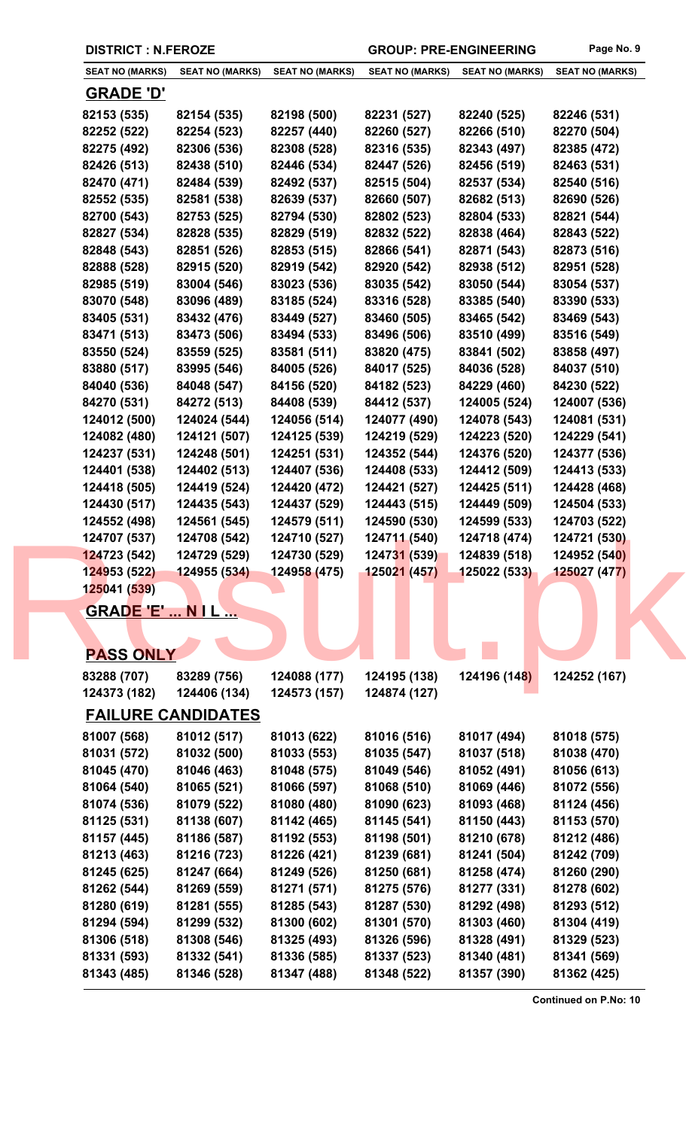| <b>SEAT NO (MARKS)</b> | <b>SEAT NO (MARKS)</b>    | <b>SEAT NO (MARKS)</b> | <b>SEAT NO (MARKS)</b> | <b>SEAT NO (MARKS)</b> | <b>SEAT NO (MARKS)</b> |
|------------------------|---------------------------|------------------------|------------------------|------------------------|------------------------|
| <u>GRADE 'D'</u>       |                           |                        |                        |                        |                        |
| 82153 (535)            | 82154 (535)               | 82198 (500)            | 82231 (527)            | 82240 (525)            | 82246 (531)            |
| 82252 (522)            | 82254 (523)               | 82257 (440)            | 82260 (527)            | 82266 (510)            | 82270 (504)            |
| 82275 (492)            | 82306 (536)               | 82308 (528)            | 82316 (535)            | 82343 (497)            | 82385 (472)            |
| 82426 (513)            | 82438 (510)               | 82446 (534)            | 82447 (526)            | 82456 (519)            | 82463 (531)            |
| 82470 (471)            | 82484 (539)               | 82492 (537)            | 82515 (504)            | 82537 (534)            | 82540 (516)            |
| 82552 (535)            | 82581 (538)               | 82639 (537)            | 82660 (507)            | 82682 (513)            | 82690 (526)            |
| 82700 (543)            | 82753 (525)               | 82794 (530)            | 82802 (523)            | 82804 (533)            | 82821 (544)            |
| 82827 (534)            | 82828 (535)               | 82829 (519)            | 82832 (522)            | 82838 (464)            | 82843 (522)            |
| 82848 (543)            | 82851 (526)               | 82853 (515)            | 82866 (541)            | 82871 (543)            | 82873 (516)            |
| 82888 (528)            | 82915 (520)               | 82919 (542)            | 82920 (542)            | 82938 (512)            | 82951 (528)            |
| 82985 (519)            | 83004 (546)               | 83023 (536)            | 83035 (542)            | 83050 (544)            | 83054 (537)            |
| 83070 (548)            | 83096 (489)               | 83185 (524)            | 83316 (528)            | 83385 (540)            | 83390 (533)            |
| 83405 (531)            | 83432 (476)               | 83449 (527)            | 83460 (505)            | 83465 (542)            | 83469 (543)            |
| 83471 (513)            | 83473 (506)               | 83494 (533)            | 83496 (506)            | 83510 (499)            | 83516 (549)            |
| 83550 (524)            | 83559 (525)               | 83581 (511)            | 83820 (475)            | 83841 (502)            | 83858 (497)            |
| 83880 (517)            | 83995 (546)               | 84005 (526)            | 84017 (525)            | 84036 (528)            | 84037 (510)            |
| 84040 (536)            | 84048 (547)               | 84156 (520)            | 84182 (523)            | 84229 (460)            | 84230 (522)            |
| 84270 (531)            | 84272 (513)               | 84408 (539)            | 84412 (537)            | 124005 (524)           | 124007 (536)           |
| 124012 (500)           | 124024 (544)              | 124056 (514)           | 124077 (490)           | 124078 (543)           | 124081 (531)           |
| 124082 (480)           | 124121 (507)              | 124125 (539)           | 124219 (529)           | 124223 (520)           | 124229 (541)           |
| 124237 (531)           | 124248 (501)              | 124251 (531)           | 124352 (544)           | 124376 (520)           | 124377 (536)           |
| 124401 (538)           | 124402 (513)              | 124407 (536)           | 124408 (533)           | 124412 (509)           | 124413 (533)           |
| 124418 (505)           | 124419 (524)              | 124420 (472)           | 124421 (527)           | 124425 (511)           | 124428 (468)           |
| 124430 (517)           | 124435 (543)              | 124437 (529)           | 124443 (515)           | 124449 (509)           | 124504 (533)           |
| 124552 (498)           | 124561 (545)              | 124579 (511)           | 124590 (530)           | 124599 (533)           | 124703 (522)           |
| 124707 (537)           | 124708 (542)              | 124710 (527)           | 124711 (540)           | 124718 (474)           | 124721 (530)           |
| 124723 (542)           | 124729 (529)              | 124730 (529)           | 124731(539)            | 124839 (518)           | 124952 (540)           |
| 124953 (522)           | 124955 (534)              | 124958 (475)           | 125021 (457)           | 125022 (533)           | 125027 (477)           |
| 125041 (539)           |                           |                        |                        |                        |                        |
|                        | <b>GRADE 'E'  N I L </b>  |                        |                        |                        |                        |
|                        |                           |                        |                        |                        |                        |
|                        |                           |                        |                        |                        |                        |
| <b>PASS ONLY</b>       |                           |                        |                        |                        |                        |
| 83288 (707)            | 83289 (756)               | 124088 (177)           | 124195 (138)           | 124196 (148)           | 124252 (167)           |
| 124373 (182)           | 124406 (134)              | 124573 (157)           | 124874 (127)           |                        |                        |
|                        |                           |                        |                        |                        |                        |
|                        | <u>FAILURE CANDIDATES</u> |                        |                        |                        |                        |
| 81007 (568)            | 81012 (517)               | 81013 (622)            | 81016 (516)            | 81017 (494)            | 81018 (575)            |
| 81031 (572)            | 81032 (500)               | 81033 (553)            | 81035 (547)            | 81037 (518)            | 81038 (470)            |
| 81045 (470)            | 81046 (463)               | 81048 (575)            | 81049 (546)            | 81052 (491)            | 81056 (613)            |
| 81064 (540)            | 81065 (521)               | 81066 (597)            | 81068 (510)            | 81069 (446)            | 81072 (556)            |
| 81074 (536)            | 81079 (522)               | 81080 (480)            | 81090 (623)            | 81093 (468)            | 81124 (456)            |
| 81125 (531)            | 81138 (607)               | 81142 (465)            | 81145 (541)            | 81150 (443)            | 81153 (570)            |
| 81157 (445)            | 81186 (587)               | 81192 (553)            | 81198 (501)            | 81210 (678)            | 81212 (486)            |
| 81213 (463)            | 81216 (723)               | 81226 (421)            | 81239 (681)            | 81241 (504)            | 81242 (709)            |
| 81245 (625)            | 81247 (664)               | 81249 (526)            | 81250 (681)            | 81258 (474)            | 81260 (290)            |
| 81262 (544)            | 81269 (559)               | 81271 (571)            | 81275 (576)            | 81277 (331)            | 81278 (602)            |
| 81280 (619)            | 81281 (555)               | 81285 (543)            | 81287 (530)            | 81292 (498)            | 81293 (512)            |
| 81294 (594)            | 81299 (532)               | 81300 (602)            | 81301 (570)            | 81303 (460)            | 81304 (419)            |
| 81306 (518)            | 81308 (546)               | 81325 (493)            | 81326 (596)            | 81328 (491)            | 81329 (523)            |
| 81331 (593)            | 81332 (541)               | 81336 (585)            | 81337 (523)            | 81340 (481)            | 81341 (569)            |

**81343 (485) 81346 (528) 81347 (488) 81348 (522) 81357 (390) 81362 (425)**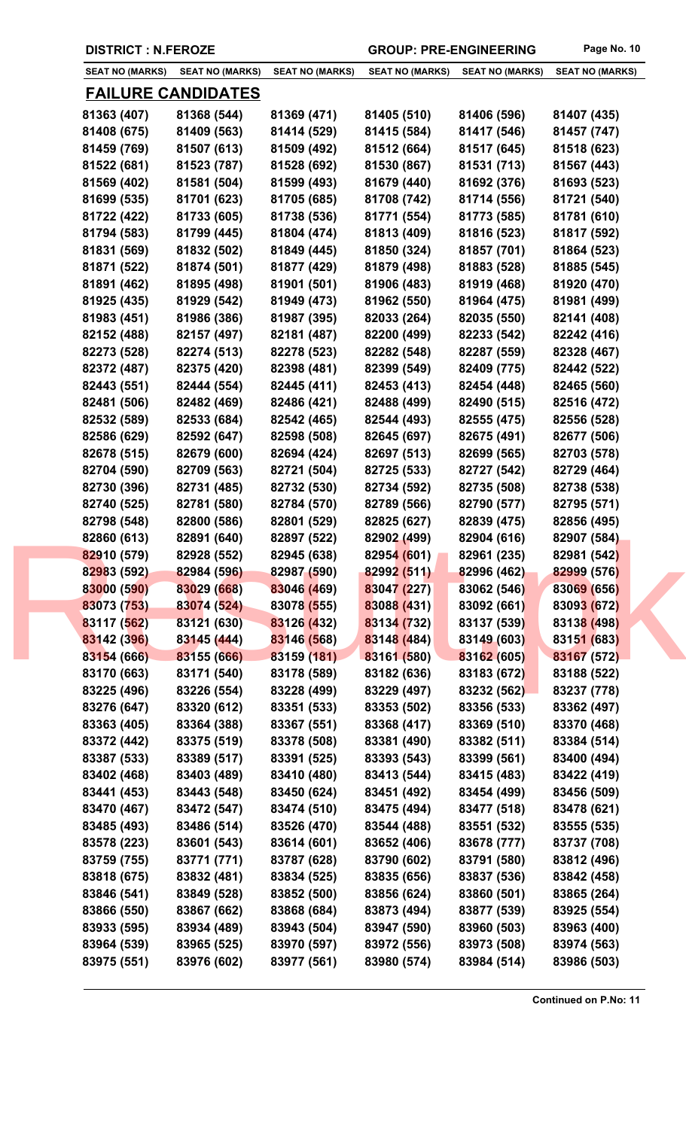| <b>DISTRICT : N.FEROZE</b> |                                                                                                                                                                                                                                                                                                                                                                                                                                                                                              | <b>GROUP: PRE-ENGINEERING</b>                                                                                                                                                                                                                                                                                                                                                                                                                                                                                                                                                                                                                                                                                                |                                                                                                                                                                                                                                                                                                                                                                                                                                                                                                                                       | Page No. 10                                                                                                                                                                                                                                                                                                                                                                                                                                                                                                 |                                                                                                                                                                                                                                                                                                                                                                                                                                                                                              |
|----------------------------|----------------------------------------------------------------------------------------------------------------------------------------------------------------------------------------------------------------------------------------------------------------------------------------------------------------------------------------------------------------------------------------------------------------------------------------------------------------------------------------------|------------------------------------------------------------------------------------------------------------------------------------------------------------------------------------------------------------------------------------------------------------------------------------------------------------------------------------------------------------------------------------------------------------------------------------------------------------------------------------------------------------------------------------------------------------------------------------------------------------------------------------------------------------------------------------------------------------------------------|---------------------------------------------------------------------------------------------------------------------------------------------------------------------------------------------------------------------------------------------------------------------------------------------------------------------------------------------------------------------------------------------------------------------------------------------------------------------------------------------------------------------------------------|-------------------------------------------------------------------------------------------------------------------------------------------------------------------------------------------------------------------------------------------------------------------------------------------------------------------------------------------------------------------------------------------------------------------------------------------------------------------------------------------------------------|----------------------------------------------------------------------------------------------------------------------------------------------------------------------------------------------------------------------------------------------------------------------------------------------------------------------------------------------------------------------------------------------------------------------------------------------------------------------------------------------|
| SEAT NO (MARKS)            |                                                                                                                                                                                                                                                                                                                                                                                                                                                                                              | <b>SEAT NO (MARKS)</b>                                                                                                                                                                                                                                                                                                                                                                                                                                                                                                                                                                                                                                                                                                       | <b>SEAT NO (MARKS)</b>                                                                                                                                                                                                                                                                                                                                                                                                                                                                                                                | <b>SEAT NO (MARKS)</b>                                                                                                                                                                                                                                                                                                                                                                                                                                                                                      | <b>SEAT NO (MARKS)</b>                                                                                                                                                                                                                                                                                                                                                                                                                                                                       |
|                            |                                                                                                                                                                                                                                                                                                                                                                                                                                                                                              |                                                                                                                                                                                                                                                                                                                                                                                                                                                                                                                                                                                                                                                                                                                              |                                                                                                                                                                                                                                                                                                                                                                                                                                                                                                                                       |                                                                                                                                                                                                                                                                                                                                                                                                                                                                                                             |                                                                                                                                                                                                                                                                                                                                                                                                                                                                                              |
| 81363 (407)                |                                                                                                                                                                                                                                                                                                                                                                                                                                                                                              | 81369 (471)                                                                                                                                                                                                                                                                                                                                                                                                                                                                                                                                                                                                                                                                                                                  | 81405 (510)                                                                                                                                                                                                                                                                                                                                                                                                                                                                                                                           | 81406 (596)                                                                                                                                                                                                                                                                                                                                                                                                                                                                                                 | 81407 (435)                                                                                                                                                                                                                                                                                                                                                                                                                                                                                  |
| 81408 (675)                |                                                                                                                                                                                                                                                                                                                                                                                                                                                                                              | 81414 (529)                                                                                                                                                                                                                                                                                                                                                                                                                                                                                                                                                                                                                                                                                                                  | 81415 (584)                                                                                                                                                                                                                                                                                                                                                                                                                                                                                                                           | 81417 (546)                                                                                                                                                                                                                                                                                                                                                                                                                                                                                                 | 81457 (747)                                                                                                                                                                                                                                                                                                                                                                                                                                                                                  |
| 81459 (769)                |                                                                                                                                                                                                                                                                                                                                                                                                                                                                                              | 81509 (492)                                                                                                                                                                                                                                                                                                                                                                                                                                                                                                                                                                                                                                                                                                                  | 81512 (664)                                                                                                                                                                                                                                                                                                                                                                                                                                                                                                                           | 81517 (645)                                                                                                                                                                                                                                                                                                                                                                                                                                                                                                 | 81518 (623)                                                                                                                                                                                                                                                                                                                                                                                                                                                                                  |
| 81522 (681)                |                                                                                                                                                                                                                                                                                                                                                                                                                                                                                              | 81528 (692)                                                                                                                                                                                                                                                                                                                                                                                                                                                                                                                                                                                                                                                                                                                  | 81530 (867)                                                                                                                                                                                                                                                                                                                                                                                                                                                                                                                           | 81531 (713)                                                                                                                                                                                                                                                                                                                                                                                                                                                                                                 | 81567 (443)                                                                                                                                                                                                                                                                                                                                                                                                                                                                                  |
|                            |                                                                                                                                                                                                                                                                                                                                                                                                                                                                                              |                                                                                                                                                                                                                                                                                                                                                                                                                                                                                                                                                                                                                                                                                                                              |                                                                                                                                                                                                                                                                                                                                                                                                                                                                                                                                       |                                                                                                                                                                                                                                                                                                                                                                                                                                                                                                             | 81693 (523)                                                                                                                                                                                                                                                                                                                                                                                                                                                                                  |
|                            |                                                                                                                                                                                                                                                                                                                                                                                                                                                                                              |                                                                                                                                                                                                                                                                                                                                                                                                                                                                                                                                                                                                                                                                                                                              |                                                                                                                                                                                                                                                                                                                                                                                                                                                                                                                                       |                                                                                                                                                                                                                                                                                                                                                                                                                                                                                                             | 81721 (540)                                                                                                                                                                                                                                                                                                                                                                                                                                                                                  |
|                            |                                                                                                                                                                                                                                                                                                                                                                                                                                                                                              |                                                                                                                                                                                                                                                                                                                                                                                                                                                                                                                                                                                                                                                                                                                              |                                                                                                                                                                                                                                                                                                                                                                                                                                                                                                                                       |                                                                                                                                                                                                                                                                                                                                                                                                                                                                                                             | 81781 (610)                                                                                                                                                                                                                                                                                                                                                                                                                                                                                  |
|                            |                                                                                                                                                                                                                                                                                                                                                                                                                                                                                              |                                                                                                                                                                                                                                                                                                                                                                                                                                                                                                                                                                                                                                                                                                                              |                                                                                                                                                                                                                                                                                                                                                                                                                                                                                                                                       |                                                                                                                                                                                                                                                                                                                                                                                                                                                                                                             | 81817 (592)                                                                                                                                                                                                                                                                                                                                                                                                                                                                                  |
|                            |                                                                                                                                                                                                                                                                                                                                                                                                                                                                                              |                                                                                                                                                                                                                                                                                                                                                                                                                                                                                                                                                                                                                                                                                                                              |                                                                                                                                                                                                                                                                                                                                                                                                                                                                                                                                       |                                                                                                                                                                                                                                                                                                                                                                                                                                                                                                             | 81864 (523)                                                                                                                                                                                                                                                                                                                                                                                                                                                                                  |
|                            |                                                                                                                                                                                                                                                                                                                                                                                                                                                                                              |                                                                                                                                                                                                                                                                                                                                                                                                                                                                                                                                                                                                                                                                                                                              |                                                                                                                                                                                                                                                                                                                                                                                                                                                                                                                                       |                                                                                                                                                                                                                                                                                                                                                                                                                                                                                                             | 81885 (545)                                                                                                                                                                                                                                                                                                                                                                                                                                                                                  |
|                            |                                                                                                                                                                                                                                                                                                                                                                                                                                                                                              |                                                                                                                                                                                                                                                                                                                                                                                                                                                                                                                                                                                                                                                                                                                              |                                                                                                                                                                                                                                                                                                                                                                                                                                                                                                                                       |                                                                                                                                                                                                                                                                                                                                                                                                                                                                                                             | 81920 (470)                                                                                                                                                                                                                                                                                                                                                                                                                                                                                  |
|                            |                                                                                                                                                                                                                                                                                                                                                                                                                                                                                              |                                                                                                                                                                                                                                                                                                                                                                                                                                                                                                                                                                                                                                                                                                                              |                                                                                                                                                                                                                                                                                                                                                                                                                                                                                                                                       |                                                                                                                                                                                                                                                                                                                                                                                                                                                                                                             | 81981 (499)                                                                                                                                                                                                                                                                                                                                                                                                                                                                                  |
|                            |                                                                                                                                                                                                                                                                                                                                                                                                                                                                                              |                                                                                                                                                                                                                                                                                                                                                                                                                                                                                                                                                                                                                                                                                                                              |                                                                                                                                                                                                                                                                                                                                                                                                                                                                                                                                       |                                                                                                                                                                                                                                                                                                                                                                                                                                                                                                             | 82141 (408)                                                                                                                                                                                                                                                                                                                                                                                                                                                                                  |
|                            |                                                                                                                                                                                                                                                                                                                                                                                                                                                                                              |                                                                                                                                                                                                                                                                                                                                                                                                                                                                                                                                                                                                                                                                                                                              |                                                                                                                                                                                                                                                                                                                                                                                                                                                                                                                                       |                                                                                                                                                                                                                                                                                                                                                                                                                                                                                                             | 82242 (416)                                                                                                                                                                                                                                                                                                                                                                                                                                                                                  |
|                            |                                                                                                                                                                                                                                                                                                                                                                                                                                                                                              |                                                                                                                                                                                                                                                                                                                                                                                                                                                                                                                                                                                                                                                                                                                              |                                                                                                                                                                                                                                                                                                                                                                                                                                                                                                                                       |                                                                                                                                                                                                                                                                                                                                                                                                                                                                                                             | 82328 (467)                                                                                                                                                                                                                                                                                                                                                                                                                                                                                  |
|                            |                                                                                                                                                                                                                                                                                                                                                                                                                                                                                              |                                                                                                                                                                                                                                                                                                                                                                                                                                                                                                                                                                                                                                                                                                                              |                                                                                                                                                                                                                                                                                                                                                                                                                                                                                                                                       |                                                                                                                                                                                                                                                                                                                                                                                                                                                                                                             |                                                                                                                                                                                                                                                                                                                                                                                                                                                                                              |
|                            |                                                                                                                                                                                                                                                                                                                                                                                                                                                                                              |                                                                                                                                                                                                                                                                                                                                                                                                                                                                                                                                                                                                                                                                                                                              |                                                                                                                                                                                                                                                                                                                                                                                                                                                                                                                                       |                                                                                                                                                                                                                                                                                                                                                                                                                                                                                                             | 82442 (522)                                                                                                                                                                                                                                                                                                                                                                                                                                                                                  |
|                            |                                                                                                                                                                                                                                                                                                                                                                                                                                                                                              |                                                                                                                                                                                                                                                                                                                                                                                                                                                                                                                                                                                                                                                                                                                              |                                                                                                                                                                                                                                                                                                                                                                                                                                                                                                                                       |                                                                                                                                                                                                                                                                                                                                                                                                                                                                                                             | 82465 (560)                                                                                                                                                                                                                                                                                                                                                                                                                                                                                  |
|                            |                                                                                                                                                                                                                                                                                                                                                                                                                                                                                              |                                                                                                                                                                                                                                                                                                                                                                                                                                                                                                                                                                                                                                                                                                                              |                                                                                                                                                                                                                                                                                                                                                                                                                                                                                                                                       |                                                                                                                                                                                                                                                                                                                                                                                                                                                                                                             | 82516 (472)                                                                                                                                                                                                                                                                                                                                                                                                                                                                                  |
|                            |                                                                                                                                                                                                                                                                                                                                                                                                                                                                                              |                                                                                                                                                                                                                                                                                                                                                                                                                                                                                                                                                                                                                                                                                                                              |                                                                                                                                                                                                                                                                                                                                                                                                                                                                                                                                       |                                                                                                                                                                                                                                                                                                                                                                                                                                                                                                             | 82556 (528)                                                                                                                                                                                                                                                                                                                                                                                                                                                                                  |
|                            |                                                                                                                                                                                                                                                                                                                                                                                                                                                                                              |                                                                                                                                                                                                                                                                                                                                                                                                                                                                                                                                                                                                                                                                                                                              |                                                                                                                                                                                                                                                                                                                                                                                                                                                                                                                                       |                                                                                                                                                                                                                                                                                                                                                                                                                                                                                                             | 82677 (506)                                                                                                                                                                                                                                                                                                                                                                                                                                                                                  |
|                            |                                                                                                                                                                                                                                                                                                                                                                                                                                                                                              |                                                                                                                                                                                                                                                                                                                                                                                                                                                                                                                                                                                                                                                                                                                              |                                                                                                                                                                                                                                                                                                                                                                                                                                                                                                                                       |                                                                                                                                                                                                                                                                                                                                                                                                                                                                                                             | 82703 (578)                                                                                                                                                                                                                                                                                                                                                                                                                                                                                  |
|                            |                                                                                                                                                                                                                                                                                                                                                                                                                                                                                              |                                                                                                                                                                                                                                                                                                                                                                                                                                                                                                                                                                                                                                                                                                                              |                                                                                                                                                                                                                                                                                                                                                                                                                                                                                                                                       |                                                                                                                                                                                                                                                                                                                                                                                                                                                                                                             | 82729 (464)                                                                                                                                                                                                                                                                                                                                                                                                                                                                                  |
|                            |                                                                                                                                                                                                                                                                                                                                                                                                                                                                                              |                                                                                                                                                                                                                                                                                                                                                                                                                                                                                                                                                                                                                                                                                                                              |                                                                                                                                                                                                                                                                                                                                                                                                                                                                                                                                       |                                                                                                                                                                                                                                                                                                                                                                                                                                                                                                             | 82738 (538)                                                                                                                                                                                                                                                                                                                                                                                                                                                                                  |
|                            |                                                                                                                                                                                                                                                                                                                                                                                                                                                                                              |                                                                                                                                                                                                                                                                                                                                                                                                                                                                                                                                                                                                                                                                                                                              |                                                                                                                                                                                                                                                                                                                                                                                                                                                                                                                                       |                                                                                                                                                                                                                                                                                                                                                                                                                                                                                                             | 82795 (571)                                                                                                                                                                                                                                                                                                                                                                                                                                                                                  |
|                            |                                                                                                                                                                                                                                                                                                                                                                                                                                                                                              |                                                                                                                                                                                                                                                                                                                                                                                                                                                                                                                                                                                                                                                                                                                              |                                                                                                                                                                                                                                                                                                                                                                                                                                                                                                                                       |                                                                                                                                                                                                                                                                                                                                                                                                                                                                                                             | 82856 (495)                                                                                                                                                                                                                                                                                                                                                                                                                                                                                  |
|                            |                                                                                                                                                                                                                                                                                                                                                                                                                                                                                              |                                                                                                                                                                                                                                                                                                                                                                                                                                                                                                                                                                                                                                                                                                                              |                                                                                                                                                                                                                                                                                                                                                                                                                                                                                                                                       |                                                                                                                                                                                                                                                                                                                                                                                                                                                                                                             | 82907 (584)                                                                                                                                                                                                                                                                                                                                                                                                                                                                                  |
|                            |                                                                                                                                                                                                                                                                                                                                                                                                                                                                                              |                                                                                                                                                                                                                                                                                                                                                                                                                                                                                                                                                                                                                                                                                                                              |                                                                                                                                                                                                                                                                                                                                                                                                                                                                                                                                       |                                                                                                                                                                                                                                                                                                                                                                                                                                                                                                             | 82981 (542)                                                                                                                                                                                                                                                                                                                                                                                                                                                                                  |
|                            |                                                                                                                                                                                                                                                                                                                                                                                                                                                                                              |                                                                                                                                                                                                                                                                                                                                                                                                                                                                                                                                                                                                                                                                                                                              |                                                                                                                                                                                                                                                                                                                                                                                                                                                                                                                                       |                                                                                                                                                                                                                                                                                                                                                                                                                                                                                                             | 82999 (576)                                                                                                                                                                                                                                                                                                                                                                                                                                                                                  |
|                            |                                                                                                                                                                                                                                                                                                                                                                                                                                                                                              |                                                                                                                                                                                                                                                                                                                                                                                                                                                                                                                                                                                                                                                                                                                              |                                                                                                                                                                                                                                                                                                                                                                                                                                                                                                                                       |                                                                                                                                                                                                                                                                                                                                                                                                                                                                                                             | 83069 (656)                                                                                                                                                                                                                                                                                                                                                                                                                                                                                  |
|                            |                                                                                                                                                                                                                                                                                                                                                                                                                                                                                              |                                                                                                                                                                                                                                                                                                                                                                                                                                                                                                                                                                                                                                                                                                                              |                                                                                                                                                                                                                                                                                                                                                                                                                                                                                                                                       |                                                                                                                                                                                                                                                                                                                                                                                                                                                                                                             | 83093 (672)                                                                                                                                                                                                                                                                                                                                                                                                                                                                                  |
|                            |                                                                                                                                                                                                                                                                                                                                                                                                                                                                                              |                                                                                                                                                                                                                                                                                                                                                                                                                                                                                                                                                                                                                                                                                                                              |                                                                                                                                                                                                                                                                                                                                                                                                                                                                                                                                       |                                                                                                                                                                                                                                                                                                                                                                                                                                                                                                             | 83138 (498)                                                                                                                                                                                                                                                                                                                                                                                                                                                                                  |
| 83142 (396)                |                                                                                                                                                                                                                                                                                                                                                                                                                                                                                              | 83146 (568)                                                                                                                                                                                                                                                                                                                                                                                                                                                                                                                                                                                                                                                                                                                  | 83148 (484)                                                                                                                                                                                                                                                                                                                                                                                                                                                                                                                           | 83149 (603)                                                                                                                                                                                                                                                                                                                                                                                                                                                                                                 | 83151 (683)                                                                                                                                                                                                                                                                                                                                                                                                                                                                                  |
| 83154 (666)                |                                                                                                                                                                                                                                                                                                                                                                                                                                                                                              | 83159 (181)                                                                                                                                                                                                                                                                                                                                                                                                                                                                                                                                                                                                                                                                                                                  | 83161 (580)                                                                                                                                                                                                                                                                                                                                                                                                                                                                                                                           | 83162 (605)                                                                                                                                                                                                                                                                                                                                                                                                                                                                                                 | 83167 (572)                                                                                                                                                                                                                                                                                                                                                                                                                                                                                  |
| 83170 (663)                |                                                                                                                                                                                                                                                                                                                                                                                                                                                                                              | 83178 (589)                                                                                                                                                                                                                                                                                                                                                                                                                                                                                                                                                                                                                                                                                                                  | 83182 (636)                                                                                                                                                                                                                                                                                                                                                                                                                                                                                                                           | 83183 (672)                                                                                                                                                                                                                                                                                                                                                                                                                                                                                                 | 83188 (522)                                                                                                                                                                                                                                                                                                                                                                                                                                                                                  |
| 83225 (496)                |                                                                                                                                                                                                                                                                                                                                                                                                                                                                                              | 83228 (499)                                                                                                                                                                                                                                                                                                                                                                                                                                                                                                                                                                                                                                                                                                                  | 83229 (497)                                                                                                                                                                                                                                                                                                                                                                                                                                                                                                                           | 83232 (562)                                                                                                                                                                                                                                                                                                                                                                                                                                                                                                 | 83237 (778)                                                                                                                                                                                                                                                                                                                                                                                                                                                                                  |
| 83276 (647)                |                                                                                                                                                                                                                                                                                                                                                                                                                                                                                              | 83351 (533)                                                                                                                                                                                                                                                                                                                                                                                                                                                                                                                                                                                                                                                                                                                  | 83353 (502)                                                                                                                                                                                                                                                                                                                                                                                                                                                                                                                           | 83356 (533)                                                                                                                                                                                                                                                                                                                                                                                                                                                                                                 | 83362 (497)                                                                                                                                                                                                                                                                                                                                                                                                                                                                                  |
| 83363 (405)                |                                                                                                                                                                                                                                                                                                                                                                                                                                                                                              | 83367 (551)                                                                                                                                                                                                                                                                                                                                                                                                                                                                                                                                                                                                                                                                                                                  | 83368 (417)                                                                                                                                                                                                                                                                                                                                                                                                                                                                                                                           | 83369 (510)                                                                                                                                                                                                                                                                                                                                                                                                                                                                                                 | 83370 (468)                                                                                                                                                                                                                                                                                                                                                                                                                                                                                  |
| 83372 (442)                |                                                                                                                                                                                                                                                                                                                                                                                                                                                                                              | 83378 (508)                                                                                                                                                                                                                                                                                                                                                                                                                                                                                                                                                                                                                                                                                                                  | 83381 (490)                                                                                                                                                                                                                                                                                                                                                                                                                                                                                                                           | 83382 (511)                                                                                                                                                                                                                                                                                                                                                                                                                                                                                                 | 83384 (514)                                                                                                                                                                                                                                                                                                                                                                                                                                                                                  |
| 83387 (533)                |                                                                                                                                                                                                                                                                                                                                                                                                                                                                                              | 83391 (525)                                                                                                                                                                                                                                                                                                                                                                                                                                                                                                                                                                                                                                                                                                                  | 83393 (543)                                                                                                                                                                                                                                                                                                                                                                                                                                                                                                                           | 83399 (561)                                                                                                                                                                                                                                                                                                                                                                                                                                                                                                 | 83400 (494)                                                                                                                                                                                                                                                                                                                                                                                                                                                                                  |
| 83402 (468)                |                                                                                                                                                                                                                                                                                                                                                                                                                                                                                              |                                                                                                                                                                                                                                                                                                                                                                                                                                                                                                                                                                                                                                                                                                                              |                                                                                                                                                                                                                                                                                                                                                                                                                                                                                                                                       | 83415 (483)                                                                                                                                                                                                                                                                                                                                                                                                                                                                                                 | 83422 (419)                                                                                                                                                                                                                                                                                                                                                                                                                                                                                  |
|                            |                                                                                                                                                                                                                                                                                                                                                                                                                                                                                              |                                                                                                                                                                                                                                                                                                                                                                                                                                                                                                                                                                                                                                                                                                                              |                                                                                                                                                                                                                                                                                                                                                                                                                                                                                                                                       |                                                                                                                                                                                                                                                                                                                                                                                                                                                                                                             | 83456 (509)                                                                                                                                                                                                                                                                                                                                                                                                                                                                                  |
|                            |                                                                                                                                                                                                                                                                                                                                                                                                                                                                                              |                                                                                                                                                                                                                                                                                                                                                                                                                                                                                                                                                                                                                                                                                                                              |                                                                                                                                                                                                                                                                                                                                                                                                                                                                                                                                       |                                                                                                                                                                                                                                                                                                                                                                                                                                                                                                             | 83478 (621)                                                                                                                                                                                                                                                                                                                                                                                                                                                                                  |
|                            |                                                                                                                                                                                                                                                                                                                                                                                                                                                                                              |                                                                                                                                                                                                                                                                                                                                                                                                                                                                                                                                                                                                                                                                                                                              |                                                                                                                                                                                                                                                                                                                                                                                                                                                                                                                                       |                                                                                                                                                                                                                                                                                                                                                                                                                                                                                                             | 83555 (535)                                                                                                                                                                                                                                                                                                                                                                                                                                                                                  |
|                            |                                                                                                                                                                                                                                                                                                                                                                                                                                                                                              |                                                                                                                                                                                                                                                                                                                                                                                                                                                                                                                                                                                                                                                                                                                              |                                                                                                                                                                                                                                                                                                                                                                                                                                                                                                                                       |                                                                                                                                                                                                                                                                                                                                                                                                                                                                                                             | 83737 (708)                                                                                                                                                                                                                                                                                                                                                                                                                                                                                  |
|                            |                                                                                                                                                                                                                                                                                                                                                                                                                                                                                              |                                                                                                                                                                                                                                                                                                                                                                                                                                                                                                                                                                                                                                                                                                                              |                                                                                                                                                                                                                                                                                                                                                                                                                                                                                                                                       |                                                                                                                                                                                                                                                                                                                                                                                                                                                                                                             | 83812 (496)                                                                                                                                                                                                                                                                                                                                                                                                                                                                                  |
|                            |                                                                                                                                                                                                                                                                                                                                                                                                                                                                                              |                                                                                                                                                                                                                                                                                                                                                                                                                                                                                                                                                                                                                                                                                                                              | 83835 (656)                                                                                                                                                                                                                                                                                                                                                                                                                                                                                                                           | 83837 (536)                                                                                                                                                                                                                                                                                                                                                                                                                                                                                                 | 83842 (458)                                                                                                                                                                                                                                                                                                                                                                                                                                                                                  |
|                            |                                                                                                                                                                                                                                                                                                                                                                                                                                                                                              |                                                                                                                                                                                                                                                                                                                                                                                                                                                                                                                                                                                                                                                                                                                              |                                                                                                                                                                                                                                                                                                                                                                                                                                                                                                                                       |                                                                                                                                                                                                                                                                                                                                                                                                                                                                                                             |                                                                                                                                                                                                                                                                                                                                                                                                                                                                                              |
| 83818 (675)                | 83832 (481)                                                                                                                                                                                                                                                                                                                                                                                                                                                                                  | 83834 (525)                                                                                                                                                                                                                                                                                                                                                                                                                                                                                                                                                                                                                                                                                                                  |                                                                                                                                                                                                                                                                                                                                                                                                                                                                                                                                       |                                                                                                                                                                                                                                                                                                                                                                                                                                                                                                             |                                                                                                                                                                                                                                                                                                                                                                                                                                                                                              |
| 83846 (541)                | 83849 (528)                                                                                                                                                                                                                                                                                                                                                                                                                                                                                  | 83852 (500)                                                                                                                                                                                                                                                                                                                                                                                                                                                                                                                                                                                                                                                                                                                  | 83856 (624)                                                                                                                                                                                                                                                                                                                                                                                                                                                                                                                           | 83860 (501)                                                                                                                                                                                                                                                                                                                                                                                                                                                                                                 | 83865 (264)                                                                                                                                                                                                                                                                                                                                                                                                                                                                                  |
| 83866 (550)                | 83867 (662)                                                                                                                                                                                                                                                                                                                                                                                                                                                                                  | 83868 (684)                                                                                                                                                                                                                                                                                                                                                                                                                                                                                                                                                                                                                                                                                                                  | 83873 (494)                                                                                                                                                                                                                                                                                                                                                                                                                                                                                                                           | 83877 (539)                                                                                                                                                                                                                                                                                                                                                                                                                                                                                                 | 83925 (554)                                                                                                                                                                                                                                                                                                                                                                                                                                                                                  |
| 83933 (595)<br>83964 (539) | 83934 (489)<br>83965 (525)                                                                                                                                                                                                                                                                                                                                                                                                                                                                   | 83943 (504)<br>83970 (597)                                                                                                                                                                                                                                                                                                                                                                                                                                                                                                                                                                                                                                                                                                   | 83947 (590)<br>83972 (556)                                                                                                                                                                                                                                                                                                                                                                                                                                                                                                            | 83960 (503)<br>83973 (508)                                                                                                                                                                                                                                                                                                                                                                                                                                                                                  | 83963 (400)<br>83974 (563)                                                                                                                                                                                                                                                                                                                                                                                                                                                                   |
|                            | 81569 (402)<br>81699 (535)<br>81722 (422)<br>81794 (583)<br>81831 (569)<br>81871 (522)<br>81891 (462)<br>81925 (435)<br>81983 (451)<br>82152 (488)<br>82273 (528)<br>82372 (487)<br>82443 (551)<br>82481 (506)<br>82532 (589)<br>82586 (629)<br>82678 (515)<br>82704 (590)<br>82730 (396)<br>82740 (525)<br>82798 (548)<br>82860 (613)<br>82910 (579)<br>82983 (592)<br>83000 (590)<br>83073 (753)<br>83117 (562)<br>83441 (453)<br>83470 (467)<br>83485 (493)<br>83578 (223)<br>83759 (755) | <u>FAILURE CANDIDATES</u><br>81368 (544)<br>81409 (563)<br>81507 (613)<br>81523 (787)<br>81581 (504)<br>81701 (623)<br>81733 (605)<br>81799 (445)<br>81832 (502)<br>81874 (501)<br>81895 (498)<br>81929 (542)<br>81986 (386)<br>82157 (497)<br>82274 (513)<br>82375 (420)<br>82444 (554)<br>82482 (469)<br>82533 (684)<br>82592 (647)<br>82679 (600)<br>82709 (563)<br>82731 (485)<br>82781 (580)<br>82800 (586)<br>82891 (640)<br>82928 (552)<br>82984 (596)<br>83029 (668)<br>83074 (524)<br>83121 (630)<br>83145 (444)<br>83155 (666)<br>83171 (540)<br>83226 (554)<br>83320 (612)<br>83364 (388)<br>83375 (519)<br>83389 (517)<br>83403 (489)<br>83443 (548)<br>83472 (547)<br>83486 (514)<br>83601 (543)<br>83771 (771) | <b>SEAT NO (MARKS)</b><br>81599 (493)<br>81705 (685)<br>81738 (536)<br>81804 (474)<br>81849 (445)<br>81877 (429)<br>81901 (501)<br>81949 (473)<br>81987 (395)<br>82181 (487)<br>82278 (523)<br>82398 (481)<br>82445 (411)<br>82486 (421)<br>82542 (465)<br>82598 (508)<br>82694 (424)<br>82721 (504)<br>82732 (530)<br>82784 (570)<br>82801 (529)<br>82897 (522)<br>82945 (638)<br>82987 (590)<br>83046 (469)<br>83078 (555)<br>83126 (432)<br>83410 (480)<br>83450 (624)<br>83474 (510)<br>83526 (470)<br>83614 (601)<br>83787 (628) | 81679 (440)<br>81708 (742)<br>81771 (554)<br>81813 (409)<br>81850 (324)<br>81879 (498)<br>81906 (483)<br>81962 (550)<br>82033 (264)<br>82200 (499)<br>82282 (548)<br>82399 (549)<br>82453 (413)<br>82488 (499)<br>82544 (493)<br>82645 (697)<br>82697 (513)<br>82725 (533)<br>82734 (592)<br>82789 (566)<br>82825 (627)<br>82902 (499)<br>82954 (601)<br>82992 (511)<br>83047 (227)<br>83088 (431)<br>83134 (732)<br>83413 (544)<br>83451 (492)<br>83475 (494)<br>83544 (488)<br>83652 (406)<br>83790 (602) | 81692 (376)<br>81714 (556)<br>81773 (585)<br>81816 (523)<br>81857 (701)<br>81883 (528)<br>81919 (468)<br>81964 (475)<br>82035 (550)<br>82233 (542)<br>82287 (559)<br>82409 (775)<br>82454 (448)<br>82490 (515)<br>82555 (475)<br>82675 (491)<br>82699 (565)<br>82727 (542)<br>82735 (508)<br>82790 (577)<br>82839 (475)<br>82904 (616)<br>82961 (235)<br>82996 (462)<br>83062 (546)<br>83092 (661)<br>83137 (539)<br>83454 (499)<br>83477 (518)<br>83551 (532)<br>83678 (777)<br>83791 (580) |